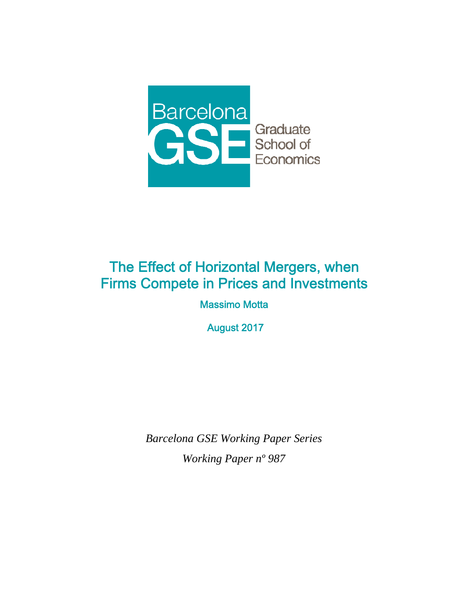

# The Effect of Horizontal Mergers, when Firms Compete in Prices and Investments

Massimo Motta

August 2017

*Barcelona GSE Working Paper Series Working Paper nº 987*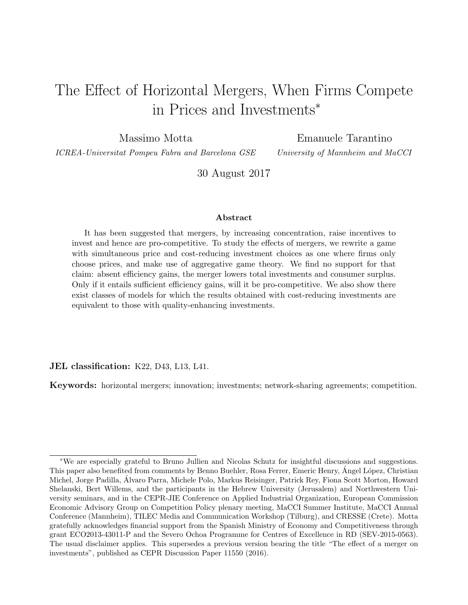# <span id="page-1-0"></span>The Effect of Horizontal Mergers, When Firms Compete in Prices and Investments<sup>∗</sup>

Massimo Motta

Emanuele Tarantino

ICREA-Universitat Pompeu Fabra and Barcelona GSE

University of Mannheim and MaCCI

30 August 2017

#### Abstract

It has been suggested that mergers, by increasing concentration, raise incentives to invest and hence are pro-competitive. To study the effects of mergers, we rewrite a game with simultaneous price and cost-reducing investment choices as one where firms only choose prices, and make use of aggregative game theory. We find no support for that claim: absent efficiency gains, the merger lowers total investments and consumer surplus. Only if it entails sufficient efficiency gains, will it be pro-competitive. We also show there exist classes of models for which the results obtained with cost-reducing investments are equivalent to those with quality-enhancing investments.

JEL classification: K22, D43, L13, L41.

Keywords: horizontal mergers; innovation; investments; network-sharing agreements; competition.

<sup>∗</sup>We are especially grateful to Bruno Jullien and Nicolas Schutz for insightful discussions and suggestions. This paper also benefited from comments by Benno Buehler, Rosa Ferrer, Emeric Henry, Ángel López, Christian Michel, Jorge Padilla, Alvaro Parra, Michele Polo, Markus Reisinger, Patrick Rey, Fiona Scott Morton, Howard ´ Shelanski, Bert Willems, and the participants in the Hebrew University (Jerusalem) and Northwestern University seminars, and in the CEPR-JIE Conference on Applied Industrial Organization, European Commission Economic Advisory Group on Competition Policy plenary meeting, MaCCI Summer Institute, MaCCI Annual Conference (Mannheim), TILEC Media and Communication Workshop (Tilburg), and CRESSE (Crete). Motta gratefully acknowledges financial support from the Spanish Ministry of Economy and Competitiveness through grant ECO2013-43011-P and the Severo Ochoa Programme for Centres of Excellence in RD (SEV-2015-0563). The usual disclaimer applies. This supersedes a previous version bearing the title "The effect of a merger on investments", published as CEPR Discussion Paper 11550 (2016).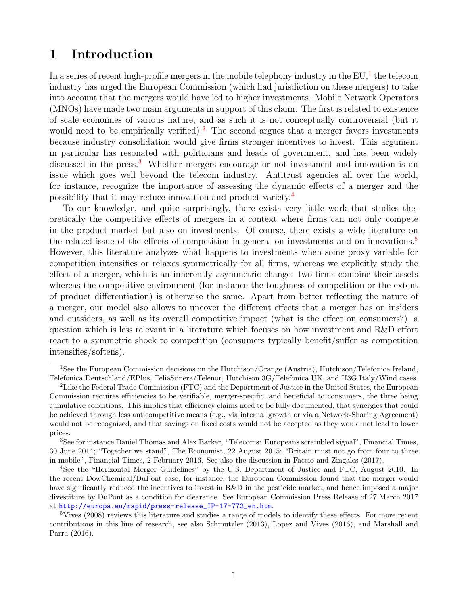## 1 Introduction

In a series of recent high-profile mergers in the mobile telephony industry in the  $EU^1$  $EU^1$ , the telecom industry has urged the European Commission (which had jurisdiction on these mergers) to take into account that the mergers would have led to higher investments. Mobile Network Operators (MNOs) have made two main arguments in support of this claim. The first is related to existence of scale economies of various nature, and as such it is not conceptually controversial (but it would need to be empirically verified).<sup>[2](#page-1-0)</sup> The second argues that a merger favors investments because industry consolidation would give firms stronger incentives to invest. This argument in particular has resonated with politicians and heads of government, and has been widely discussed in the press.<sup>[3](#page-1-0)</sup> Whether mergers encourage or not investment and innovation is an issue which goes well beyond the telecom industry. Antitrust agencies all over the world, for instance, recognize the importance of assessing the dynamic effects of a merger and the possibility that it may reduce innovation and product variety.[4](#page-1-0)

To our knowledge, and quite surprisingly, there exists very little work that studies theoretically the competitive effects of mergers in a context where firms can not only compete in the product market but also on investments. Of course, there exists a wide literature on the related issue of the effects of competition in general on investments and on innovations.<sup>[5](#page-1-0)</sup> However, this literature analyzes what happens to investments when some proxy variable for competition intensifies or relaxes symmetrically for all firms, whereas we explicitly study the effect of a merger, which is an inherently asymmetric change: two firms combine their assets whereas the competitive environment (for instance the toughness of competition or the extent of product differentiation) is otherwise the same. Apart from better reflecting the nature of a merger, our model also allows to uncover the different effects that a merger has on insiders and outsiders, as well as its overall competitive impact (what is the effect on consumers?), a question which is less relevant in a literature which focuses on how investment and R&D effort react to a symmetric shock to competition (consumers typically benefit/suffer as competition intensifies/softens).

<sup>1</sup>See the European Commission decisions on the Hutchison/Orange (Austria), Hutchison/Telefonica Ireland, Telefonica Deutschland/EPlus, TeliaSonera/Telenor, Hutchison 3G/Telefonica UK, and H3G Italy/Wind cases.

<sup>&</sup>lt;sup>2</sup>Like the Federal Trade Commission (FTC) and the Department of Justice in the United States, the European Commission requires efficiencies to be verifiable, merger-specific, and beneficial to consumers, the three being cumulative conditions. This implies that efficiency claims need to be fully documented, that synergies that could be achieved through less anticompetitive means (e.g., via internal growth or via a Network-Sharing Agreement) would not be recognized, and that savings on fixed costs would not be accepted as they would not lead to lower prices.

<sup>3</sup>See for instance Daniel Thomas and Alex Barker, "Telecoms: Europeans scrambled signal", Financial Times, 30 June 2014; "Together we stand", The Economist, 22 August 2015; "Britain must not go from four to three in mobile", Financial Times, 2 February 2016. See also the discussion in Faccio and Zingales (2017).

<sup>4</sup>See the "Horizontal Merger Guidelines" by the U.S. Department of Justice and FTC, August 2010. In the recent DowChemical/DuPont case, for instance, the European Commission found that the merger would have significantly reduced the incentives to invest in R&D in the pesticide market, and hence imposed a major divestiture by DuPont as a condition for clearance. See European Commission Press Release of 27 March 2017 at [http://europa.eu/rapid/press-release\\_IP-17-772\\_en.htm](http://europa.eu/rapid/press-release_IP-17-772_en.htm).

<sup>&</sup>lt;sup>5</sup>Vives (2008) reviews this literature and studies a range of models to identify these effects. For more recent contributions in this line of research, see also Schmutzler (2013), Lopez and Vives (2016), and Marshall and Parra (2016).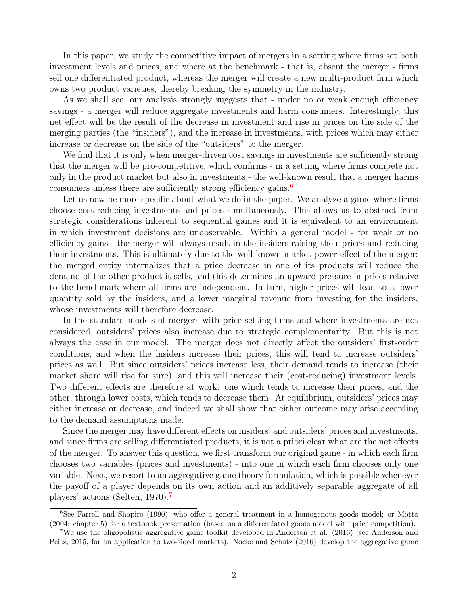In this paper, we study the competitive impact of mergers in a setting where firms set both investment levels and prices, and where at the benchmark - that is, absent the merger - firms sell one differentiated product, whereas the merger will create a new multi-product firm which owns two product varieties, thereby breaking the symmetry in the industry.

As we shall see, our analysis strongly suggests that - under no or weak enough efficiency savings - a merger will reduce aggregate investments and harm consumers. Interestingly, this net effect will be the result of the decrease in investment and rise in prices on the side of the merging parties (the "insiders"), and the increase in investments, with prices which may either increase or decrease on the side of the "outsiders" to the merger.

We find that it is only when merger-driven cost savings in investments are sufficiently strong that the merger will be pro-competitive, which confirms - in a setting where firms compete not only in the product market but also in investments - the well-known result that a merger harms consumers unless there are sufficiently strong efficiency gains.<sup>[6](#page-1-0)</sup>

Let us now be more specific about what we do in the paper. We analyze a game where firms choose cost-reducing investments and prices simultaneously. This allows us to abstract from strategic considerations inherent to sequential games and it is equivalent to an environment in which investment decisions are unobservable. Within a general model - for weak or no efficiency gains - the merger will always result in the insiders raising their prices and reducing their investments. This is ultimately due to the well-known market power effect of the merger: the merged entity internalizes that a price decrease in one of its products will reduce the demand of the other product it sells, and this determines an upward pressure in prices relative to the benchmark where all firms are independent. In turn, higher prices will lead to a lower quantity sold by the insiders, and a lower marginal revenue from investing for the insiders, whose investments will therefore decrease.

In the standard models of mergers with price-setting firms and where investments are not considered, outsiders' prices also increase due to strategic complementarity. But this is not always the case in our model. The merger does not directly affect the outsiders' first-order conditions, and when the insiders increase their prices, this will tend to increase outsiders' prices as well. But since outsiders' prices increase less, their demand tends to increase (their market share will rise for sure), and this will increase their (cost-reducing) investment levels. Two different effects are therefore at work: one which tends to increase their prices, and the other, through lower costs, which tends to decrease them. At equilibrium, outsiders' prices may either increase or decrease, and indeed we shall show that either outcome may arise according to the demand assumptions made.

Since the merger may have different effects on insiders' and outsiders' prices and investments, and since firms are selling differentiated products, it is not a priori clear what are the net effects of the merger. To answer this question, we first transform our original game - in which each firm chooses two variables (prices and investments) - into one in which each firm chooses only one variable. Next, we resort to an aggregative game theory formulation, which is possible whenever the payoff of a player depends on its own action and an additively separable aggregate of all players' actions (Selten, 1970).[7](#page-1-0)

<sup>&</sup>lt;sup>6</sup>See Farrell and Shapiro (1990), who offer a general treatment in a homogenous goods model; or Motta (2004: chapter 5) for a textbook presentation (based on a differentiated goods model with price competition).

<sup>7</sup>We use the oligopolistic aggregative game toolkit developed in Anderson et al. (2016) (see Anderson and Peitz, 2015, for an application to two-sided markets). Nocke and Schutz (2016) develop the aggregative game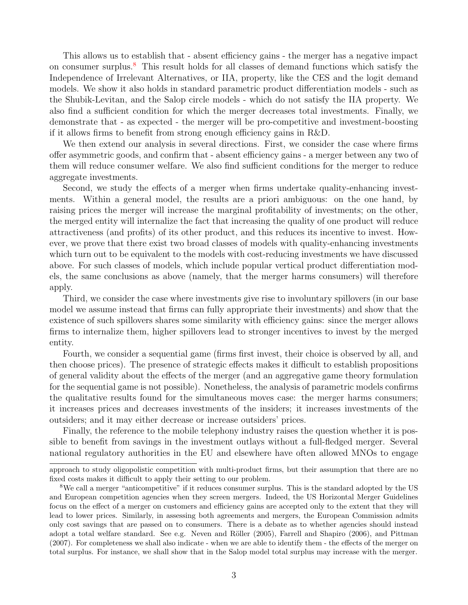This allows us to establish that - absent efficiency gains - the merger has a negative impact on consumer surplus.<sup>[8](#page-1-0)</sup> This result holds for all classes of demand functions which satisfy the Independence of Irrelevant Alternatives, or IIA, property, like the CES and the logit demand models. We show it also holds in standard parametric product differentiation models - such as the Shubik-Levitan, and the Salop circle models - which do not satisfy the IIA property. We also find a sufficient condition for which the merger decreases total investments. Finally, we demonstrate that - as expected - the merger will be pro-competitive and investment-boosting if it allows firms to benefit from strong enough efficiency gains in R&D.

We then extend our analysis in several directions. First, we consider the case where firms offer asymmetric goods, and confirm that - absent efficiency gains - a merger between any two of them will reduce consumer welfare. We also find sufficient conditions for the merger to reduce aggregate investments.

Second, we study the effects of a merger when firms undertake quality-enhancing investments. Within a general model, the results are a priori ambiguous: on the one hand, by raising prices the merger will increase the marginal profitability of investments; on the other, the merged entity will internalize the fact that increasing the quality of one product will reduce attractiveness (and profits) of its other product, and this reduces its incentive to invest. However, we prove that there exist two broad classes of models with quality-enhancing investments which turn out to be equivalent to the models with cost-reducing investments we have discussed above. For such classes of models, which include popular vertical product differentiation models, the same conclusions as above (namely, that the merger harms consumers) will therefore apply.

Third, we consider the case where investments give rise to involuntary spillovers (in our base model we assume instead that firms can fully appropriate their investments) and show that the existence of such spillovers shares some similarity with efficiency gains: since the merger allows firms to internalize them, higher spillovers lead to stronger incentives to invest by the merged entity.

Fourth, we consider a sequential game (firms first invest, their choice is observed by all, and then choose prices). The presence of strategic effects makes it difficult to establish propositions of general validity about the effects of the merger (and an aggregative game theory formulation for the sequential game is not possible). Nonetheless, the analysis of parametric models confirms the qualitative results found for the simultaneous moves case: the merger harms consumers; it increases prices and decreases investments of the insiders; it increases investments of the outsiders; and it may either decrease or increase outsiders' prices.

Finally, the reference to the mobile telephony industry raises the question whether it is possible to benefit from savings in the investment outlays without a full-fledged merger. Several national regulatory authorities in the EU and elsewhere have often allowed MNOs to engage

approach to study oligopolistic competition with multi-product firms, but their assumption that there are no fixed costs makes it difficult to apply their setting to our problem.

<sup>&</sup>lt;sup>8</sup>We call a merger "anticompetitive" if it reduces consumer surplus. This is the standard adopted by the US and European competition agencies when they screen mergers. Indeed, the US Horizontal Merger Guidelines focus on the effect of a merger on customers and efficiency gains are accepted only to the extent that they will lead to lower prices. Similarly, in assessing both agreements and mergers, the European Commission admits only cost savings that are passed on to consumers. There is a debate as to whether agencies should instead adopt a total welfare standard. See e.g. Neven and Röller (2005), Farrell and Shapiro (2006), and Pittman (2007). For completeness we shall also indicate - when we are able to identify them - the effects of the merger on total surplus. For instance, we shall show that in the Salop model total surplus may increase with the merger.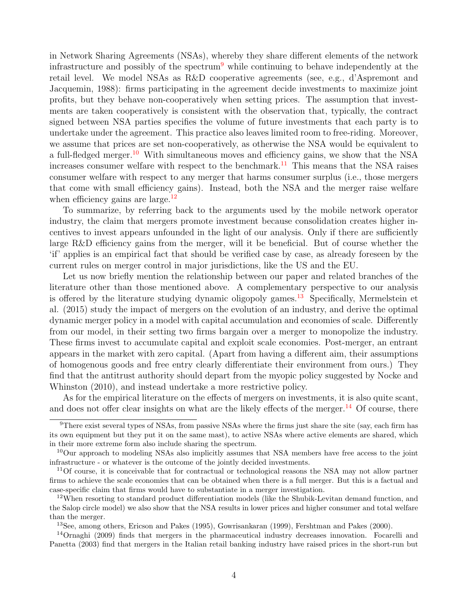in Network Sharing Agreements (NSAs), whereby they share different elements of the network infrastructure and possibly of the spectrum<sup>[9](#page-1-0)</sup> while continuing to behave independently at the retail level. We model NSAs as R&D cooperative agreements (see, e.g., d'Aspremont and Jacquemin, 1988): firms participating in the agreement decide investments to maximize joint profits, but they behave non-cooperatively when setting prices. The assumption that investments are taken cooperatively is consistent with the observation that, typically, the contract signed between NSA parties specifies the volume of future investments that each party is to undertake under the agreement. This practice also leaves limited room to free-riding. Moreover, we assume that prices are set non-cooperatively, as otherwise the NSA would be equivalent to a full-fledged merger.<sup>[10](#page-1-0)</sup> With simultaneous moves and efficiency gains, we show that the NSA increases consumer welfare with respect to the benchmark.<sup>[11](#page-1-0)</sup> This means that the NSA raises consumer welfare with respect to any merger that harms consumer surplus (i.e., those mergers that come with small efficiency gains). Instead, both the NSA and the merger raise welfare when efficiency gains are large.<sup>[12](#page-1-0)</sup>

To summarize, by referring back to the arguments used by the mobile network operator industry, the claim that mergers promote investment because consolidation creates higher incentives to invest appears unfounded in the light of our analysis. Only if there are sufficiently large R&D efficiency gains from the merger, will it be beneficial. But of course whether the 'if' applies is an empirical fact that should be verified case by case, as already foreseen by the current rules on merger control in major jurisdictions, like the US and the EU.

Let us now briefly mention the relationship between our paper and related branches of the literature other than those mentioned above. A complementary perspective to our analysis is offered by the literature studying dynamic oligopoly games.<sup>[13](#page-1-0)</sup> Specifically, Mermelstein et al. (2015) study the impact of mergers on the evolution of an industry, and derive the optimal dynamic merger policy in a model with capital accumulation and economies of scale. Differently from our model, in their setting two firms bargain over a merger to monopolize the industry. These firms invest to accumulate capital and exploit scale economies. Post-merger, an entrant appears in the market with zero capital. (Apart from having a different aim, their assumptions of homogenous goods and free entry clearly differentiate their environment from ours.) They find that the antitrust authority should depart from the myopic policy suggested by Nocke and Whinston (2010), and instead undertake a more restrictive policy.

As for the empirical literature on the effects of mergers on investments, it is also quite scant, and does not offer clear insights on what are the likely effects of the merger.<sup>[14](#page-1-0)</sup> Of course, there

<sup>9</sup>There exist several types of NSAs, from passive NSAs where the firms just share the site (say, each firm has its own equipment but they put it on the same mast), to active NSAs where active elements are shared, which in their more extreme form also include sharing the spectrum.

<sup>10</sup>Our approach to modeling NSAs also implicitly assumes that NSA members have free access to the joint infrastructure - or whatever is the outcome of the jointly decided investments.

<sup>&</sup>lt;sup>11</sup>Of course, it is conceivable that for contractual or technological reasons the NSA may not allow partner firms to achieve the scale economies that can be obtained when there is a full merger. But this is a factual and case-specific claim that firms would have to substantiate in a merger investigation.

<sup>&</sup>lt;sup>12</sup>When resorting to standard product differentiation models (like the Shubik-Levitan demand function, and the Salop circle model) we also show that the NSA results in lower prices and higher consumer and total welfare than the merger.

<sup>13</sup>See, among others, Ericson and Pakes (1995), Gowrisankaran (1999), Fershtman and Pakes (2000).

<sup>14</sup>Ornaghi (2009) finds that mergers in the pharmaceutical industry decreases innovation. Focarelli and Panetta (2003) find that mergers in the Italian retail banking industry have raised prices in the short-run but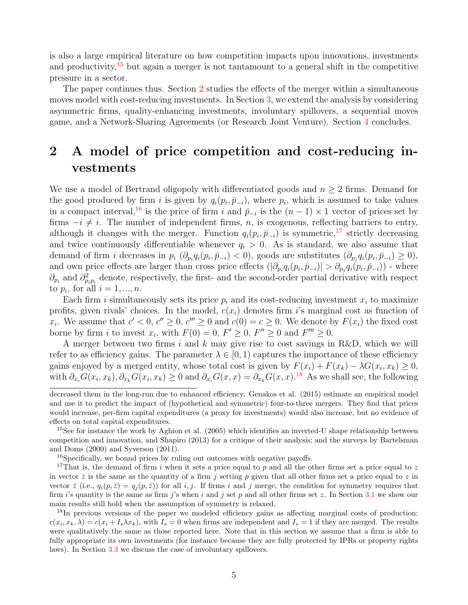is also a large empirical literature on how competition impacts upon innovations, investments and productivity,<sup>[15](#page-1-0)</sup> but again a merger is not tantamount to a general shift in the competitive pressure in a sector.

The paper continues thus. Section [2](#page-6-0) studies the effects of the merger within a simultaneous moves model with cost-reducing investments. In Section [3,](#page-25-0) we extend the analysis by considering asymmetric firms, quality-enhancing investments, involuntary spillovers, a sequential moves game, and a Network-Sharing Agreements (or Research Joint Venture). Section [4](#page-36-0) concludes.

## <span id="page-6-0"></span>2 A model of price competition and cost-reducing investments

We use a model of Bertrand oligopoly with differentiated goods and  $n \geq 2$  firms. Demand for the good produced by firm i is given by  $q_i(p_i, \bar{p}_{-i})$ , where  $p_i$ , which is assumed to take values in a compact interval,<sup>[16](#page-1-0)</sup> is the price of firm i and  $\bar{p}_{-i}$  is the  $(n-1) \times 1$  vector of prices set by firms  $-i \neq i$ . The number of independent firms, n, is exogenous, reflecting barriers to entry, although it changes with the merger. Function  $q_i(p_i, \bar{p}_{-i})$  is symmetric,<sup>[17](#page-1-0)</sup> strictly decreasing and twice continuously differentiable whenever  $q_i > 0$ . As is standard, we also assume that demand of firm *i* decreases in  $p_i$   $(\partial_{p_i} q_i(p_i, \bar{p}_{-i}) < 0)$ , goods are substitutes  $(\partial_{p_j} q_i(p_i, \bar{p}_{-i}) \ge 0)$ , and own price effects are larger than cross price effects  $(|\partial_{p_i} q_i(p_i, \bar{p}_{-i})| > \partial_{p_j} q_i(p_i, \bar{p}_{-i})$  - where  $\partial_{p_i}$  and  $\partial^2_{p_i p_i}$  denote, respectively, the first- and the second-order partial derivative with respect to  $p_i$ , for all  $i = 1, ..., n$ .

Each firm i simultaneously sets its price  $p_i$  and its cost-reducing investment  $x_i$  to maximize profits, given rivals' choices. In the model,  $c(x_i)$  denotes firm i's marginal cost as function of  $x_i$ . We assume that  $c' < 0$ ,  $c'' \ge 0$ ,  $c''' \ge 0$  and  $c(0) = c \ge 0$ . We denote by  $F(x_i)$  the fixed cost borne by firm *i* to invest  $x_i$ , with  $F(0) = 0$ ,  $F' \ge 0$ ,  $F'' \ge 0$  and  $F''' \ge 0$ .

A merger between two firms i and k may give rise to cost savings in R&D, which we will refer to as efficiency gains. The parameter  $\lambda \in [0,1)$  captures the importance of these efficiency gains enjoyed by a merged entity, whose total cost is given by  $F(x_i) + F(x_k) - \lambda G(x_i, x_k) \geq 0$ , with  $\partial_{x_i} G(x_i, x_k), \partial_{x_k} G(x_i, x_k) \ge 0$  and  $\partial_{x_i} G(x, x) = \partial_{x_k} G(x, x)$ .<sup>[18](#page-1-0)</sup> As we shall see, the following

<sup>16</sup>Specifically, we bound prices by ruling out outcomes with negative payoffs.

<sup>17</sup>That is, the demand of firm i when it sets a price equal to p and all the other firms set a price equal to z in vector  $\bar{z}$  is the same as the quantity of a firm j setting p given that all other firms set a price equal to z in vector  $\bar{z}$  (i.e.,  $q_i(p,\bar{z}) = q_i(p,\bar{z})$ ) for all i, j. If firms i and j merge, the condition for symmetry requires that firm is quantity is the same as firm j's when i and j set p and all other firms set z. In Section [3.1](#page-25-1) we show our main results still hold when the assumption of symmetry is relaxed.

<sup>18</sup>In previous versions of the paper we modeled efficiency gains as affecting marginal costs of production:  $c(x_i, x_k, \lambda) = c(x_i + I_s \lambda x_k)$ , with  $I_s = 0$  when firms are independent and  $I_s = 1$  if they are merged. The results were qualitatively the same as those reported here. Note that in this section we assume that a firm is able to fully appropriate its own investments (for instance because they are fully protected by IPRs or property rights laws). In Section [3.3](#page-28-0) we discuss the case of involuntary spillovers.

decreased them in the long-run due to enhanced efficiency. Genakos et al. (2015) estimate an empirical model and use it to predict the impact of (hypothetical and symmetric) four-to-three mergers. They find that prices would increase, per-firm capital expenditures (a proxy for investments) would also increase, but no evidence of effects on total capital expenditures.

<sup>&</sup>lt;sup>15</sup>See for instance the work by Aghion et al. (2005) which identifies an inverted-U shape relationship between competition and innovation, and Shapiro (2013) for a critique of their analysis; and the surveys by Bartelsman and Doms (2000) and Syverson (2011).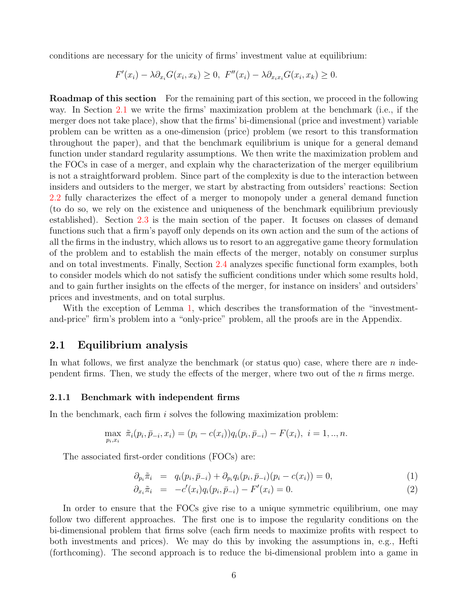conditions are necessary for the unicity of firms' investment value at equilibrium:

$$
F'(x_i) - \lambda \partial_{x_i} G(x_i, x_k) \ge 0, \ F''(x_i) - \lambda \partial_{x_i x_i} G(x_i, x_k) \ge 0.
$$

**Roadmap of this section** For the remaining part of this section, we proceed in the following way. In Section [2.1](#page-7-0) we write the firms' maximization problem at the benchmark (i.e., if the merger does not take place), show that the firms' bi-dimensional (price and investment) variable problem can be written as a one-dimension (price) problem (we resort to this transformation throughout the paper), and that the benchmark equilibrium is unique for a general demand function under standard regularity assumptions. We then write the maximization problem and the FOCs in case of a merger, and explain why the characterization of the merger equilibrium is not a straightforward problem. Since part of the complexity is due to the interaction between insiders and outsiders to the merger, we start by abstracting from outsiders' reactions: Section [2.2](#page-11-0) fully characterizes the effect of a merger to monopoly under a general demand function (to do so, we rely on the existence and uniqueness of the benchmark equilibrium previously established). Section [2.3](#page-13-0) is the main section of the paper. It focuses on classes of demand functions such that a firm's payoff only depends on its own action and the sum of the actions of all the firms in the industry, which allows us to resort to an aggregative game theory formulation of the problem and to establish the main effects of the merger, notably on consumer surplus and on total investments. Finally, Section [2.4](#page-19-0) analyzes specific functional form examples, both to consider models which do not satisfy the sufficient conditions under which some results hold, and to gain further insights on the effects of the merger, for instance on insiders' and outsiders' prices and investments, and on total surplus.

With the exception of Lemma [1,](#page-8-0) which describes the transformation of the "investmentand-price" firm's problem into a "only-price" problem, all the proofs are in the Appendix.

#### <span id="page-7-0"></span>2.1 Equilibrium analysis

In what follows, we first analyze the benchmark (or status quo) case, where there are  $n$  independent firms. Then, we study the effects of the merger, where two out of the  $n$  firms merge.

#### 2.1.1 Benchmark with independent firms

In the benchmark, each firm  $i$  solves the following maximization problem:

$$
\max_{p_i, x_i} \tilde{\pi}_i(p_i, \bar{p}_{-i}, x_i) = (p_i - c(x_i))q_i(p_i, \bar{p}_{-i}) - F(x_i), \ i = 1, ..., n.
$$

The associated first-order conditions (FOCs) are:

<span id="page-7-1"></span>
$$
\partial_{p_i} \tilde{\pi}_i = q_i(p_i, \bar{p}_{-i}) + \partial_{p_i} q_i(p_i, \bar{p}_{-i})(p_i - c(x_i)) = 0, \tag{1}
$$

$$
\partial_{x_i} \tilde{\pi}_i = -c'(x_i) q_i(p_i, \bar{p}_{-i}) - F'(x_i) = 0.
$$
\n(2)

In order to ensure that the FOCs give rise to a unique symmetric equilibrium, one may follow two different approaches. The first one is to impose the regularity conditions on the bi-dimensional problem that firms solve (each firm needs to maximize profits with respect to both investments and prices). We may do this by invoking the assumptions in, e.g., Hefti (forthcoming). The second approach is to reduce the bi-dimensional problem into a game in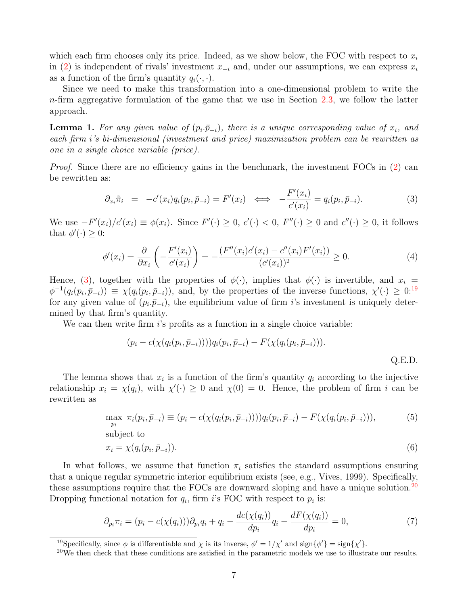which each firm chooses only its price. Indeed, as we show below, the FOC with respect to  $x_i$ in [\(2\)](#page-7-1) is independent of rivals' investment  $x_{-i}$  and, under our assumptions, we can express  $x_i$ as a function of the firm's quantity  $q_i(\cdot, \cdot)$ .

Since we need to make this transformation into a one-dimensional problem to write the  $n$ -firm aggregative formulation of the game that we use in Section [2.3,](#page-13-0) we follow the latter approach.

<span id="page-8-0"></span>**Lemma 1.** For any given value of  $(p_i, \bar{p}_{-i})$ , there is a unique corresponding value of  $x_i$ , and each firm i's bi-dimensional (investment and price) maximization problem can be rewritten as one in a single choice variable (price).

Proof. Since there are no efficiency gains in the benchmark, the investment FOCs in [\(2\)](#page-7-1) can be rewritten as:

<span id="page-8-1"></span>
$$
\partial_{x_i}\tilde{\pi}_i = -c'(x_i)q_i(p_i, \bar{p}_{-i}) = F'(x_i) \iff -\frac{F'(x_i)}{c'(x_i)} = q_i(p_i, \bar{p}_{-i}). \tag{3}
$$

We use  $-F'(x_i)/c'(x_i) \equiv \phi(x_i)$ . Since  $F'(\cdot) \geq 0$ ,  $c'(\cdot) < 0$ ,  $F''(\cdot) \geq 0$  and  $c''(\cdot) \geq 0$ , it follows that  $\phi'(\cdot) \geq 0$ :

$$
\phi'(x_i) = \frac{\partial}{\partial x_i} \left( -\frac{F'(x_i)}{c'(x_i)} \right) = -\frac{(F''(x_i)c'(x_i) - c''(x_i)F'(x_i))}{(c'(x_i))^2} \ge 0.
$$
\n(4)

Hence, [\(3\)](#page-8-1), together with the properties of  $\phi(\cdot)$ , implies that  $\phi(\cdot)$  is invertible, and  $x_i =$  $\phi^{-1}(q_i(p_i,\bar{p}_{-i})) \equiv \chi(q_i(p_i,\bar{p}_{-i}))$ , and, by the properties of the inverse functions,  $\chi'(\cdot) \geq 0$ <sup>[19](#page-1-0)</sup> for any given value of  $(p_i, \bar{p}_{-i})$ , the equilibrium value of firm *i*'s investment is uniquely determined by that firm's quantity.

We can then write firm  $i$ 's profits as a function in a single choice variable:

$$
(p_i - c(\chi(q_i(p_i, \bar{p}_{-i})))q_i(p_i, \bar{p}_{-i}) - F(\chi(q_i(p_i, \bar{p}_{-i}))).
$$
 Q.E.D.

The lemma shows that  $x_i$  is a function of the firm's quantity  $q_i$  according to the injective relationship  $x_i = \chi(q_i)$ , with  $\chi'(\cdot) \geq 0$  and  $\chi(0) = 0$ . Hence, the problem of firm i can be rewritten as

<span id="page-8-2"></span>
$$
\max_{p_i} \ \pi_i(p_i, \bar{p}_{-i}) \equiv (p_i - c(\chi(q_i(p_i, \bar{p}_{-i}))))q_i(p_i, \bar{p}_{-i}) - F(\chi(q_i(p_i, \bar{p}_{-i}))), \tag{5}
$$

subject to

$$
x_i = \chi(q_i(p_i, \bar{p}_{-i})). \tag{6}
$$

In what follows, we assume that function  $\pi_i$  satisfies the standard assumptions ensuring that a unique regular symmetric interior equilibrium exists (see, e.g., Vives, 1999). Specifically, these assumptions require that the FOCs are downward sloping and have a unique solution.<sup>[20](#page-1-0)</sup> Dropping functional notation for  $q_i$ , firm i's FOC with respect to  $p_i$  is:

<span id="page-8-3"></span>
$$
\partial_{p_i} \pi_i = (p_i - c(\chi(q_i))) \partial_{p_i} q_i + q_i - \frac{dc(\chi(q_i))}{dp_i} q_i - \frac{dF(\chi(q_i))}{dp_i} = 0,
$$
\n(7)

<sup>&</sup>lt;sup>19</sup>Specifically, since  $\phi$  is differentiable and  $\chi$  is its inverse,  $\phi' = 1/\chi'$  and  $\text{sign}\{\phi'\} = \text{sign}\{\chi'\}.$ 

<sup>&</sup>lt;sup>20</sup>We then check that these conditions are satisfied in the parametric models we use to illustrate our results.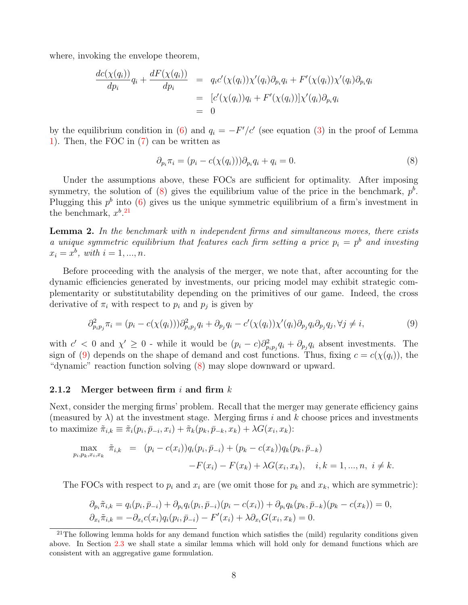where, invoking the envelope theorem,

$$
\frac{dc(\chi(q_i))}{dp_i}q_i + \frac{dF(\chi(q_i))}{dp_i} = q_i c'(\chi(q_i))\chi'(q_i)\partial_{p_i}q_i + F'(\chi(q_i))\chi'(q_i)\partial_{p_i}q_i
$$
  
=  $[c'(\chi(q_i))q_i + F'(\chi(q_i))] \chi'(q_i)\partial_{p_i}q_i$   
= 0

by the equilibrium condition in [\(6\)](#page-8-2) and  $q_i = -F'/c'$  (see equation [\(3\)](#page-8-1) in the proof of Lemma [1\)](#page-8-0). Then, the FOC in [\(7\)](#page-8-3) can be written as

<span id="page-9-0"></span>
$$
\partial_{p_i}\pi_i = (p_i - c(\chi(q_i)))\partial_{p_i}q_i + q_i = 0.
$$
\n
$$
(8)
$$

Under the assumptions above, these FOCs are sufficient for optimality. After imposing symmetry, the solution of  $(8)$  gives the equilibrium value of the price in the benchmark,  $p<sup>b</sup>$ . Plugging this  $p^b$  into [\(6\)](#page-8-2) gives us the unique symmetric equilibrium of a firm's investment in the benchmark,  $x^{b}$ .<sup>[21](#page-1-0)</sup>

<span id="page-9-2"></span>**Lemma 2.** In the benchmark with n independent firms and simultaneous moves, there exists a unique symmetric equilibrium that features each firm setting a price  $p_i = p^b$  and investing  $x_i = x^b$ , with  $i = 1, ..., n$ .

Before proceeding with the analysis of the merger, we note that, after accounting for the dynamic efficiencies generated by investments, our pricing model may exhibit strategic complementarity or substitutability depending on the primitives of our game. Indeed, the cross derivative of  $\pi_i$  with respect to  $p_i$  and  $p_j$  is given by

<span id="page-9-1"></span>
$$
\partial_{p_i p_j}^2 \pi_i = (p_i - c(\chi(q_i))) \partial_{p_i p_j}^2 q_i + \partial_{p_j q_i} - c'(\chi(q_i)) \chi'(q_i) \partial_{p_j q_i} \partial_{p_j q_j}, \forall j \neq i,
$$
\n(9)

with  $c' < 0$  and  $\chi' \geq 0$  - while it would be  $(p_i - c)\partial_{p_i p_j}^2 q_i + \partial_{p_j} q_i$  absent investments. The sign of [\(9\)](#page-9-1) depends on the shape of demand and cost functions. Thus, fixing  $c = c(\chi(q_i))$ , the "dynamic" reaction function solving [\(8\)](#page-9-0) may slope downward or upward.

#### 2.1.2 Merger between firm i and firm  $k$

Next, consider the merging firms' problem. Recall that the merger may generate efficiency gains (measured by  $\lambda$ ) at the investment stage. Merging firms i and k choose prices and investments to maximize  $\tilde{\pi}_{i,k} \equiv \tilde{\pi}_i(p_i, \bar{p}_{-i}, x_i) + \tilde{\pi}_k(p_k, \bar{p}_{-k}, x_k) + \lambda G(x_i, x_k)$ :

$$
\max_{p_i, p_k, x_i, x_k} \tilde{\pi}_{i,k} = (p_i - c(x_i))q_i(p_i, \bar{p}_{-i}) + (p_k - c(x_k))q_k(p_k, \bar{p}_{-k})
$$
  
- $F(x_i) - F(x_k) + \lambda G(x_i, x_k), \quad i, k = 1, ..., n, \ i \neq k.$ 

The FOCs with respect to  $p_i$  and  $x_i$  are (we omit those for  $p_k$  and  $x_k$ , which are symmetric):

$$
\partial_{p_i} \tilde{\pi}_{i,k} = q_i(p_i, \bar{p}_{-i}) + \partial_{p_i} q_i(p_i, \bar{p}_{-i})(p_i - c(x_i)) + \partial_{p_i} q_k(p_k, \bar{p}_{-k})(p_k - c(x_k)) = 0, \n\partial_{x_i} \tilde{\pi}_{i,k} = -\partial_{x_i} c(x_i) q_i(p_i, \bar{p}_{-i}) - F'(x_i) + \lambda \partial_{x_i} G(x_i, x_k) = 0.
$$

 $21$ The following lemma holds for any demand function which satisfies the (mild) regularity conditions given above. In Section [2.3](#page-13-0) we shall state a similar lemma which will hold only for demand functions which are consistent with an aggregative game formulation.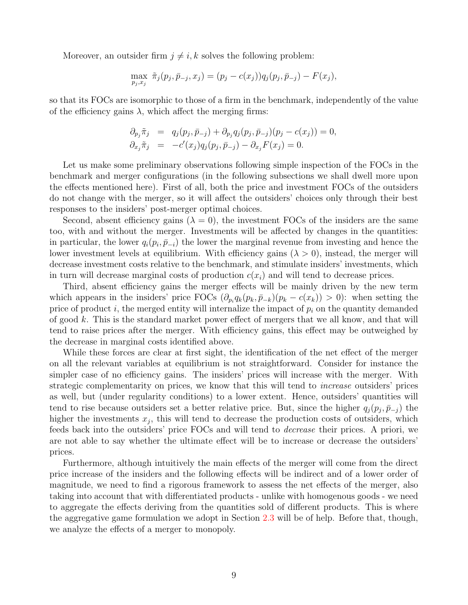Moreover, an outsider firm  $j \neq i, k$  solves the following problem:

$$
\max_{p_j, x_j} \tilde{\pi}_j(p_j, \bar{p}_{-j}, x_j) = (p_j - c(x_j))q_j(p_j, \bar{p}_{-j}) - F(x_j),
$$

so that its FOCs are isomorphic to those of a firm in the benchmark, independently of the value of the efficiency gains  $\lambda$ , which affect the merging firms:

$$
\begin{array}{rcl}\n\partial_{p_j}\tilde{\pi}_j & = & q_j(p_j, \bar{p}_{-j}) + \partial_{p_j}q_j(p_j, \bar{p}_{-j})(p_j - c(x_j)) = 0, \\
\partial_{x_j}\tilde{\pi}_j & = & -c'(x_j)q_j(p_j, \bar{p}_{-j}) - \partial_{x_j}F(x_j) = 0.\n\end{array}
$$

Let us make some preliminary observations following simple inspection of the FOCs in the benchmark and merger configurations (in the following subsections we shall dwell more upon the effects mentioned here). First of all, both the price and investment FOCs of the outsiders do not change with the merger, so it will affect the outsiders' choices only through their best responses to the insiders' post-merger optimal choices.

Second, absent efficiency gains  $(\lambda = 0)$ , the investment FOCs of the insiders are the same too, with and without the merger. Investments will be affected by changes in the quantities: in particular, the lower  $q_i(p_i, \bar{p}_{-i})$  the lower the marginal revenue from investing and hence the lower investment levels at equilibrium. With efficiency gains  $(\lambda > 0)$ , instead, the merger will decrease investment costs relative to the benchmark, and stimulate insiders' investments, which in turn will decrease marginal costs of production  $c(x_i)$  and will tend to decrease prices.

Third, absent efficiency gains the merger effects will be mainly driven by the new term which appears in the insiders' price FOCs  $(\partial_{p_i} q_k(p_k, \bar{p}_{-k})(p_k - c(x_k)) > 0)$ : when setting the price of product i, the merged entity will internalize the impact of  $p_i$  on the quantity demanded of good k. This is the standard market power effect of mergers that we all know, and that will tend to raise prices after the merger. With efficiency gains, this effect may be outweighed by the decrease in marginal costs identified above.

While these forces are clear at first sight, the identification of the net effect of the merger on all the relevant variables at equilibrium is not straightforward. Consider for instance the simpler case of no efficiency gains. The insiders' prices will increase with the merger. With strategic complementarity on prices, we know that this will tend to *increase* outsiders' prices as well, but (under regularity conditions) to a lower extent. Hence, outsiders' quantities will tend to rise because outsiders set a better relative price. But, since the higher  $q_j(p_j, \bar{p}_{-j})$  the higher the investments  $x_j$ , this will tend to decrease the production costs of outsiders, which feeds back into the outsiders' price FOCs and will tend to decrease their prices. A priori, we are not able to say whether the ultimate effect will be to increase or decrease the outsiders' prices.

Furthermore, although intuitively the main effects of the merger will come from the direct price increase of the insiders and the following effects will be indirect and of a lower order of magnitude, we need to find a rigorous framework to assess the net effects of the merger, also taking into account that with differentiated products - unlike with homogenous goods - we need to aggregate the effects deriving from the quantities sold of different products. This is where the aggregative game formulation we adopt in Section [2.3](#page-13-0) will be of help. Before that, though, we analyze the effects of a merger to monopoly.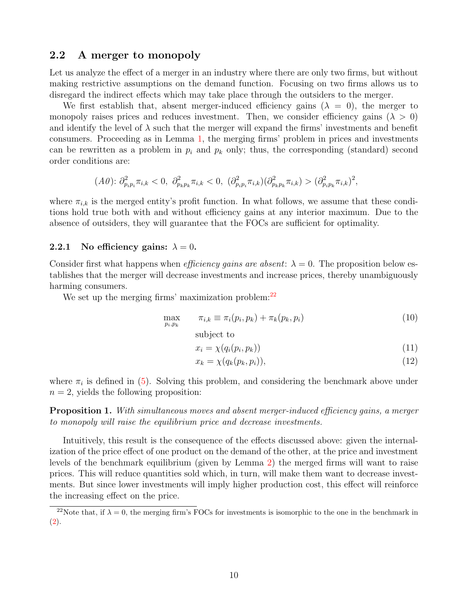#### <span id="page-11-0"></span>2.2 A merger to monopoly

Let us analyze the effect of a merger in an industry where there are only two firms, but without making restrictive assumptions on the demand function. Focusing on two firms allows us to disregard the indirect effects which may take place through the outsiders to the merger.

We first establish that, absent merger-induced efficiency gains  $(\lambda = 0)$ , the merger to monopoly raises prices and reduces investment. Then, we consider efficiency gains ( $\lambda > 0$ ) and identify the level of  $\lambda$  such that the merger will expand the firms' investments and benefit consumers. Proceeding as in Lemma [1,](#page-8-0) the merging firms' problem in prices and investments can be rewritten as a problem in  $p_i$  and  $p_k$  only; thus, the corresponding (standard) second order conditions are:

$$
(A0): \partial_{p_ip_i}^2 \pi_{i,k} < 0, \ \partial_{p_kp_k}^2 \pi_{i,k} < 0, \ \left(\partial_{p_ip_i}^2 \pi_{i,k}\right) \left(\partial_{p_kp_k}^2 \pi_{i,k}\right) > \left(\partial_{p_ip_k}^2 \pi_{i,k}\right)^2,
$$

where  $\pi_{i,k}$  is the merged entity's profit function. In what follows, we assume that these conditions hold true both with and without efficiency gains at any interior maximum. Due to the absence of outsiders, they will guarantee that the FOCs are sufficient for optimality.

#### 2.2.1 No efficiency gains:  $\lambda = 0$ .

Consider first what happens when *efficiency gains are absent:*  $\lambda = 0$ . The proposition below establishes that the merger will decrease investments and increase prices, thereby unambiguously harming consumers.

We set up the merging firms' maximization problem:<sup>[22](#page-1-0)</sup>

<span id="page-11-2"></span>
$$
\max_{p_i, p_k} \qquad \pi_{i,k} \equiv \pi_i(p_i, p_k) + \pi_k(p_k, p_i) \tag{10}
$$

subject to

$$
x_i = \chi(q_i(p_i, p_k)) \tag{11}
$$

$$
x_k = \chi(q_k(p_k, p_i)),\tag{12}
$$

where  $\pi_i$  is defined in [\(5\)](#page-8-2). Solving this problem, and considering the benchmark above under  $n = 2$ , yields the following proposition:

<span id="page-11-1"></span>**Proposition 1.** With simultaneous moves and absent merger-induced efficiency gains, a merger to monopoly will raise the equilibrium price and decrease investments.

Intuitively, this result is the consequence of the effects discussed above: given the internalization of the price effect of one product on the demand of the other, at the price and investment levels of the benchmark equilibrium (given by Lemma [2\)](#page-9-2) the merged firms will want to raise prices. This will reduce quantities sold which, in turn, will make them want to decrease investments. But since lower investments will imply higher production cost, this effect will reinforce the increasing effect on the price.

<sup>&</sup>lt;sup>22</sup>Note that, if  $\lambda = 0$ , the merging firm's FOCs for investments is isomorphic to the one in the benchmark in [\(2\)](#page-7-1).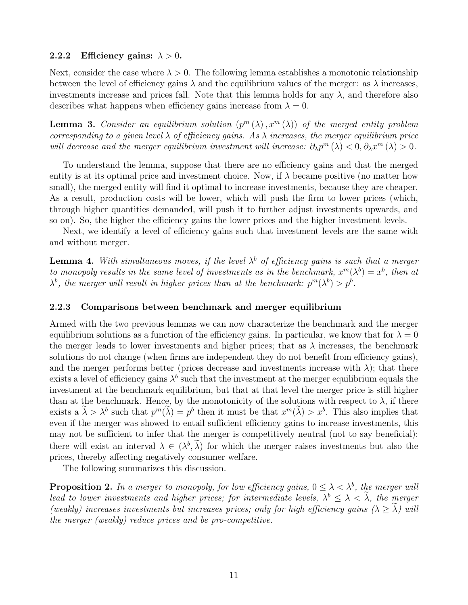#### 2.2.2 Efficiency gains:  $\lambda > 0$ .

Next, consider the case where  $\lambda > 0$ . The following lemma establishes a monotonic relationship between the level of efficiency gains  $\lambda$  and the equilibrium values of the merger: as  $\lambda$  increases, investments increase and prices fall. Note that this lemma holds for any  $\lambda$ , and therefore also describes what happens when efficiency gains increase from  $\lambda = 0$ .

<span id="page-12-0"></span>**Lemma 3.** Consider an equilibrium solution  $(p^m(\lambda), x^m(\lambda))$  of the merged entity problem corresponding to a given level  $\lambda$  of efficiency gains. As  $\lambda$  increases, the merger equilibrium price will decrease and the merger equilibrium investment will increase:  $\partial_{\lambda}p^{m}(\lambda) < 0, \partial_{\lambda}x^{m}(\lambda) > 0$ .

To understand the lemma, suppose that there are no efficiency gains and that the merged entity is at its optimal price and investment choice. Now, if  $\lambda$  became positive (no matter how small), the merged entity will find it optimal to increase investments, because they are cheaper. As a result, production costs will be lower, which will push the firm to lower prices (which, through higher quantities demanded, will push it to further adjust investments upwards, and so on). So, the higher the efficiency gains the lower prices and the higher investment levels.

Next, we identify a level of efficiency gains such that investment levels are the same with and without merger.

<span id="page-12-2"></span>**Lemma 4.** With simultaneous moves, if the level  $\lambda^b$  of efficiency gains is such that a merger to monopoly results in the same level of investments as in the benchmark,  $x^m(\lambda^b) = x^b$ , then at  $\lambda^{b}$ , the merger will result in higher prices than at the benchmark:  $p^{m}(\lambda^{b}) > p^{b}$ .

#### 2.2.3 Comparisons between benchmark and merger equilibrium

Armed with the two previous lemmas we can now characterize the benchmark and the merger equilibrium solutions as a function of the efficiency gains. In particular, we know that for  $\lambda = 0$ the merger leads to lower investments and higher prices; that as  $\lambda$  increases, the benchmark solutions do not change (when firms are independent they do not benefit from efficiency gains), and the merger performs better (prices decrease and investments increase with  $\lambda$ ); that there exists a level of efficiency gains  $\lambda^b$  such that the investment at the merger equilibrium equals the investment at the benchmark equilibrium, but that at that level the merger price is still higher than at the benchmark. Hence, by the monotonicity of the solutions with respect to  $\lambda$ , if there exists a  $\lambda > \lambda^b$  such that  $p^m(\lambda) = p^b$  then it must be that  $x^m(\lambda) > x^b$ . This also implies that even if the merger was showed to entail sufficient efficiency gains to increase investments, this may not be sufficient to infer that the merger is competitively neutral (not to say beneficial): there will exist an interval  $\lambda \in (\lambda^b, \lambda)$  for which the merger raises investments but also the prices, thereby affecting negatively consumer welfare.

The following summarizes this discussion.

<span id="page-12-1"></span>**Proposition 2.** In a merger to monopoly, for low efficiency gains,  $0 \leq \lambda < \lambda^b$ , the merger will lead to lower investments and higher prices; for intermediate levels,  $\lambda^b \leq \lambda < \lambda$ , the merger (weakly) increases investments but increases prices; only for high efficiency gains  $(\lambda \geq \lambda)$  will the merger (weakly) reduce prices and be pro-competitive.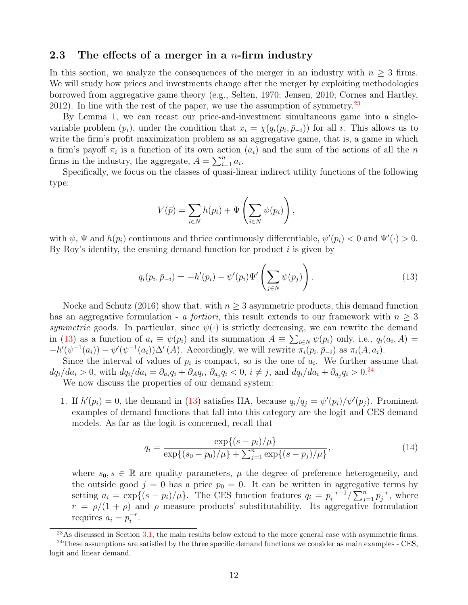#### <span id="page-13-0"></span>2.3 The effects of a merger in a *n*-firm industry

In this section, we analyze the consequences of the merger in an industry with  $n \geq 3$  firms. We will study how prices and investments change after the merger by exploiting methodologies borrowed from aggregative game theory (e.g., Selten, 1970; Jensen, 2010; Cornes and Hartley, 2012). In line with the rest of the paper, we use the assumption of symmetry.<sup>[23](#page-1-0)</sup>

By Lemma [1,](#page-8-0) we can recast our price-and-investment simultaneous game into a singlevariable problem  $(p_i)$ , under the condition that  $x_i = \chi(q_i(p_i, \bar{p}_{-i}))$  for all i. This allows us to write the firm's profit maximization problem as an aggregative game, that is, a game in which a firm's payoff  $\pi_i$  is a function of its own action  $(a_i)$  and the sum of the actions of all the n firms in the industry, the aggregate,  $A = \sum_{i=1}^{n} a_i$ .

Specifically, we focus on the classes of quasi-linear indirect utility functions of the following type:

$$
V(\bar{p}) = \sum_{i \in N} h(p_i) + \Psi\left(\sum_{i \in N} \psi(p_i)\right),
$$

with  $\psi$ ,  $\Psi$  and  $h(p_i)$  continuous and thrice continuously differentiable,  $\psi'(p_i) < 0$  and  $\Psi'(\cdot) > 0$ . By Roy's identity, the ensuing demand function for product  $i$  is given by

<span id="page-13-1"></span>
$$
q_i(p_i, \bar{p}_{-i}) = -h'(p_i) - \psi'(p_i)\Psi'\left(\sum_{j \in N} \psi(p_j)\right).
$$
 (13)

Nocke and Schutz (2016) show that, with  $n \geq 3$  asymmetric products, this demand function has an aggregative formulation - a fortiori, this result extends to our framework with  $n \geq 3$ symmetric goods. In particular, since  $\psi(\cdot)$  is strictly decreasing, we can rewrite the demand in [\(13\)](#page-13-1) as a function of  $a_i \equiv \psi(p_i)$  and its summation  $A \equiv \sum_{i \in N} \psi(p_i)$  only, i.e.,  $q_i(a_i, A) =$  $-h'(\psi^{-1}(a_i)) - \psi'(\psi^{-1}(a_i))\Delta'(A)$ . Accordingly, we will rewrite  $\pi_i(p_i, \bar{p}_{-i})$  as  $\pi_i(A, a_i)$ .

Since the interval of values of  $p_i$  is compact, so is the one of  $a_i$ . We further assume that  $dq_i/da_i > 0$ , with  $dq_i/da_i = \partial_{a_i}q_i + \partial_Aq_i$ ,  $\partial_{a_j}q_i < 0$ ,  $i \neq j$ , and  $dq_i/da_i + \partial_{a_j}q_i > 0$ .<sup>[24](#page-1-0)</sup>

We now discuss the properties of our demand system:

1. If  $h'(p_i) = 0$ , the demand in [\(13\)](#page-13-1) satisfies IIA, because  $q_i/q_j = \psi'(p_i)/\psi'(p_j)$ . Prominent examples of demand functions that fall into this category are the logit and CES demand models. As far as the logit is concerned, recall that

<span id="page-13-2"></span>
$$
q_i = \frac{\exp\{(s - p_i)/\mu\}}{\exp\{(s_0 - p_0)/\mu\} + \sum_{j=1}^n \exp\{(s - p_j)/\mu\}},\tag{14}
$$

where  $s_0, s \in \mathbb{R}$  are quality parameters,  $\mu$  the degree of preference heterogeneity, and the outside good  $j = 0$  has a price  $p_0 = 0$ . It can be written in aggregative terms by setting  $a_i = \exp\{(s - p_i)/\mu\}$ . The CES function features  $q_i = p_i^{-r-1}$  $\sum_{j=1}^{r-1} \sum_{j=1}^{n} p_j^{-r}$  $j^r$ , where  $r = \rho/(1 + \rho)$  and  $\rho$  measure products' substitutability. Its aggregative formulation requires  $a_i = p_i^{-r}$  $\frac{-r}{i}$ .

 $23\text{As discussed in Section 3.1},$  the main results below extend to the more general case with asymmetric firms.

 $24$ These assumptions are satisfied by the three specific demand functions we consider as main examples - CES, logit and linear demand.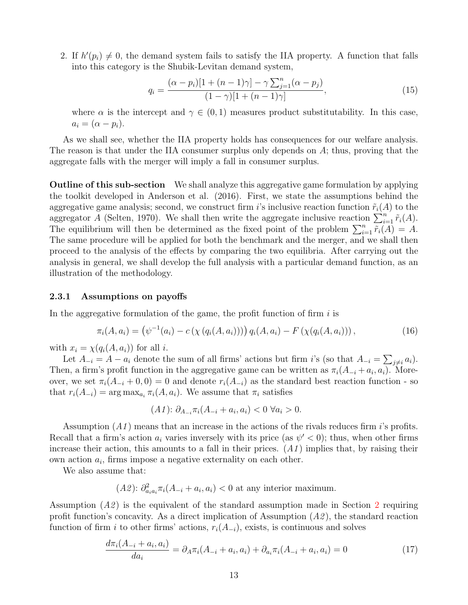2. If  $h'(p_i) \neq 0$ , the demand system fails to satisfy the IIA property. A function that falls into this category is the Shubik-Levitan demand system,

<span id="page-14-1"></span>
$$
q_i = \frac{(\alpha - p_i)[1 + (n - 1)\gamma] - \gamma \sum_{j=1}^n (\alpha - p_j)}{(1 - \gamma)[1 + (n - 1)\gamma]},
$$
\n(15)

where  $\alpha$  is the intercept and  $\gamma \in (0,1)$  measures product substitutability. In this case,  $a_i = (\alpha - p_i).$ 

As we shall see, whether the IIA property holds has consequences for our welfare analysis. The reason is that under the IIA consumer surplus only depends on A; thus, proving that the aggregate falls with the merger will imply a fall in consumer surplus.

Outline of this sub-section We shall analyze this aggregative game formulation by applying the toolkit developed in Anderson et al. (2016). First, we state the assumptions behind the aggregative game analysis; second, we construct firm is inclusive reaction function  $\tilde{r}_i(A)$  to the aggregator A (Selten, 1970). We shall then write the aggregate inclusive reaction  $\sum_{i=1}^{n} \tilde{r}_i(A)$ . The equilibrium will then be determined as the fixed point of the problem  $\sum_{i=1}^{n} \widetilde{r_i}(A) = A$ . The same procedure will be applied for both the benchmark and the merger, and we shall then proceed to the analysis of the effects by comparing the two equilibria. After carrying out the analysis in general, we shall develop the full analysis with a particular demand function, as an illustration of the methodology.

#### 2.3.1 Assumptions on payoffs

In the aggregative formulation of the game, the profit function of firm  $i$  is

<span id="page-14-0"></span>
$$
\pi_i(A, a_i) = (\psi^{-1}(a_i) - c(\chi(q_i(A, a_i)))) q_i(A, a_i) - F(\chi(q_i(A, a_i)))\,,\tag{16}
$$

with  $x_i = \chi(q_i(A, a_i))$  for all *i*.

Let  $A_{-i} = A - a_i$  denote the sum of all firms' actions but firm i's (so that  $A_{-i} = \sum_{j \neq i} a_i$ ). Then, a firm's profit function in the aggregative game can be written as  $\pi_i(A_{-i} + a_i, a_i)$ . Moreover, we set  $\pi_i(A_{-i} + 0, 0) = 0$  and denote  $r_i(A_{-i})$  as the standard best reaction function - so that  $r_i(A_{-i}) = \arg \max_{a_i} \pi_i(A, a_i)$ . We assume that  $\pi_i$  satisfies

$$
(A1): \partial_{A_{-i}} \pi_i(A_{-i} + a_i, a_i) < 0 \,\forall a_i > 0.
$$

Assumption  $(A1)$  means that an increase in the actions of the rivals reduces firm *i*'s profits. Recall that a firm's action  $a_i$  varies inversely with its price (as  $\psi' < 0$ ); thus, when other firms increase their action, this amounts to a fall in their prices.  $(A1)$  implies that, by raising their own action  $a_i$ , firms impose a negative externality on each other.

We also assume that:

 $(A2)$ :  $\partial_{a_i a_i}^2 \pi_i (A_{-i} + a_i, a_i) < 0$  at any interior maximum.

Assumption  $(A2)$  $(A2)$  $(A2)$  is the equivalent of the standard assumption made in Section 2 requiring profit function's concavity. As a direct implication of Assumption  $(A2)$ , the standard reaction function of firm i to other firms' actions,  $r_i(A_{-i})$ , exists, is continuous and solves

<span id="page-14-2"></span>
$$
\frac{d\pi_i(A_{-i} + a_i, a_i)}{da_i} = \partial_A \pi_i(A_{-i} + a_i, a_i) + \partial_{a_i} \pi_i(A_{-i} + a_i, a_i) = 0
$$
\n(17)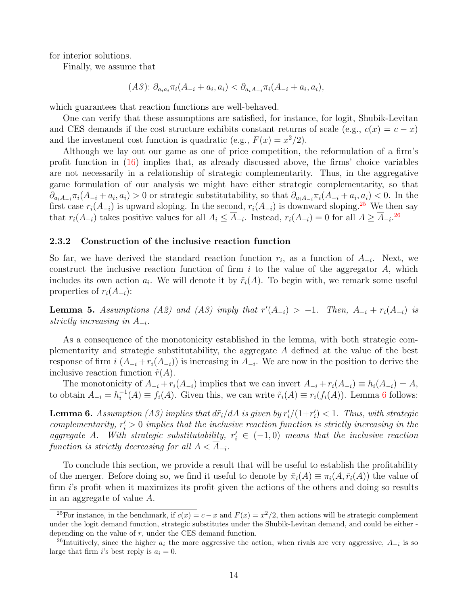for interior solutions.

Finally, we assume that

$$
(A3): \partial_{a_i a_i} \pi_i (A_{-i} + a_i, a_i) < \partial_{a_i A_{-i}} \pi_i (A_{-i} + a_i, a_i),
$$

which guarantees that reaction functions are well-behaved.

One can verify that these assumptions are satisfied, for instance, for logit, Shubik-Levitan and CES demands if the cost structure exhibits constant returns of scale (e.g.,  $c(x) = c - x$ ) and the investment cost function is quadratic (e.g.,  $F(x) = x^2/2$ ).

Although we lay out our game as one of price competition, the reformulation of a firm's profit function in [\(16\)](#page-14-0) implies that, as already discussed above, the firms' choice variables are not necessarily in a relationship of strategic complementarity. Thus, in the aggregative game formulation of our analysis we might have either strategic complementarity, so that  $\partial_{a_iA_{-i}}\pi_i(A_{-i}+a_i,a_i) > 0$  or strategic substitutability, so that  $\partial_{a_iA_{-i}}\pi_i(A_{-i}+a_i,a_i) < 0$ . In the first case  $r_i(A_{-i})$  is upward sloping. In the second,  $r_i(A_{-i})$  is downward sloping.<sup>[25](#page-1-0)</sup> We then say that  $r_i(A_{-i})$  takes positive values for all  $A_i \leq \overline{A}_{-i}$ . Instead,  $r_i(A_{-i}) = 0$  for all  $A \geq \overline{A}_{-i}$ .<sup>[26](#page-1-0)</sup>

#### 2.3.2 Construction of the inclusive reaction function

So far, we have derived the standard reaction function  $r_i$ , as a function of  $A_{-i}$ . Next, we construct the inclusive reaction function of firm  $i$  to the value of the aggregator  $A$ , which includes its own action  $a_i$ . We will denote it by  $\tilde{r}_i(A)$ . To begin with, we remark some useful properties of  $r_i(A_{-i})$ :

<span id="page-15-1"></span>**Lemma 5.** Assumptions (A2) and (A3) imply that  $r'(A_{-i}) > -1$ . Then,  $A_{-i} + r_i(A_{-i})$  is strictly increasing in  $A_{-i}$ .

As a consequence of the monotonicity established in the lemma, with both strategic complementarity and strategic substitutability, the aggregate A defined at the value of the best response of firm  $i(A_{-i} + r_i(A_{-i}))$  is increasing in  $A_{-i}$ . We are now in the position to derive the inclusive reaction function  $\tilde{r}(A)$ .

The monotonicity of  $A_{-i} + r_i(A_{-i})$  implies that we can invert  $A_{-i} + r_i(A_{-i}) \equiv h_i(A_{-i}) = A$ , to obtain  $A_{-i} = h_i^{-1}$  $i_i^{-1}(A) \equiv f_i(A)$ . Given this, we can write  $\tilde{r}_i(A) \equiv r_i(f_i(A))$ . Lemma [6](#page-15-0) follows:

<span id="page-15-0"></span>**Lemma 6.** Assumption (A3) implies that  $d\tilde{r}_i/dA$  is given by  $r'_i/(1+r'_i) < 1$ . Thus, with strategic complementarity,  $r_i' > 0$  implies that the inclusive reaction function is strictly increasing in the aggregate A. With strategic substitutability,  $r'_i \in (-1,0)$  means that the inclusive reaction function is strictly decreasing for all  $A < A_{-i}$ .

To conclude this section, we provide a result that will be useful to establish the profitability of the merger. Before doing so, we find it useful to denote by  $\overline{\pi}_i(A) \equiv \pi_i(A, \widetilde{r}_i(A))$  the value of firm i's profit when it maximizes its profit given the actions of the others and doing so results in an aggregate of value A.

<sup>&</sup>lt;sup>25</sup>For instance, in the benchmark, if  $c(x) = c - x$  and  $F(x) = x^2/2$ , then actions will be strategic complement under the logit demand function, strategic substitutes under the Shubik-Levitan demand, and could be either depending on the value of  $r$ , under the CES demand function.

<sup>&</sup>lt;sup>26</sup>Intuitively, since the higher  $a_i$  the more aggressive the action, when rivals are very aggressive,  $A_{-i}$  is so large that firm i's best reply is  $a_i = 0$ .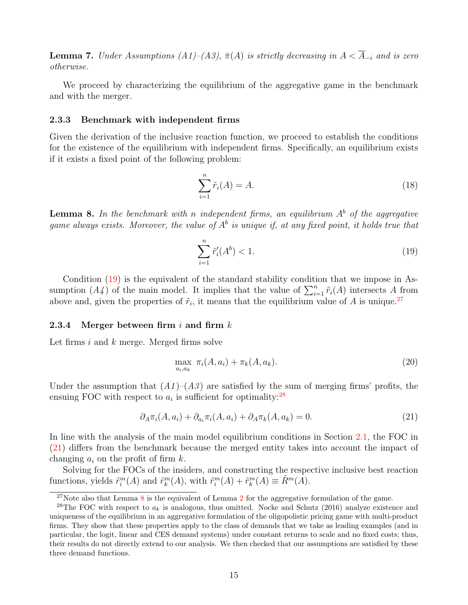<span id="page-16-3"></span>**Lemma 7.** Under Assumptions (A1)–(A3),  $\bar{\pi}(A)$  is strictly decreasing in  $A < \overline{A}_{-i}$  and is zero otherwise.

We proceed by characterizing the equilibrium of the aggregative game in the benchmark and with the merger.

#### 2.3.3 Benchmark with independent firms

Given the derivation of the inclusive reaction function, we proceed to establish the conditions for the existence of the equilibrium with independent firms. Specifically, an equilibrium exists if it exists a fixed point of the following problem:

<span id="page-16-4"></span>
$$
\sum_{i=1}^{n} \tilde{r}_i(A) = A.
$$
\n(18)

<span id="page-16-2"></span>**Lemma 8.** In the benchmark with n independent firms, an equilibrium  $A^b$  of the aggregative game always exists. Moreover, the value of  $A^b$  is unique if, at any fixed point, it holds true that

<span id="page-16-0"></span>
$$
\sum_{i=1}^{n} \tilde{r}'_i(A^b) < 1. \tag{19}
$$

Condition [\(19\)](#page-16-0) is the equivalent of the standard stability condition that we impose in Assumption  $(A_4)$  of the main model. It implies that the value of  $\sum_{i=1}^n \tilde{r}_i(A)$  intersects A from above and, given the properties of  $\tilde{r}_i$ , it means that the equilibrium value of A is unique.<sup>[27](#page-1-0)</sup>

#### 2.3.4 Merger between firm i and firm  $k$

Let firms  $i$  and  $k$  merge. Merged firms solve

$$
\max_{a_i, a_k} \pi_i(A, a_i) + \pi_k(A, a_k). \tag{20}
$$

Under the assumption that  $(A1)$ – $(A3)$  are satisfied by the sum of merging firms' profits, the ensuing FOC with respect to  $a_i$  is sufficient for optimality:<sup>[28](#page-1-0)</sup>

<span id="page-16-1"></span>
$$
\partial_A \pi_i(A, a_i) + \partial_{a_i} \pi_i(A, a_i) + \partial_A \pi_k(A, a_k) = 0.
$$
\n(21)

In line with the analysis of the main model equilibrium conditions in Section [2.1,](#page-7-0) the FOC in [\(21\)](#page-16-1) differs from the benchmark because the merged entity takes into account the impact of changing  $a_i$  on the profit of firm k.

Solving for the FOCs of the insiders, and constructing the respective inclusive best reaction functions, yields  $\tilde{r}_i^m(A)$  and  $\tilde{r}_k^m(A)$ , with  $\tilde{r}_i^m(A) + \tilde{r}_k^m(A) \equiv \tilde{R}^m(A)$ .

 $27$  $27$ Note also that Lemma [8](#page-16-2) is the equivalent of Lemma 2 for the aggregative formulation of the game.

<sup>&</sup>lt;sup>28</sup>The FOC with respect to  $a_k$  is analogous, thus omitted. Nocke and Schutz (2016) analyze existence and uniqueness of the equilibrium in an aggregative formulation of the oligopolistic pricing game with multi-product firms. They show that these properties apply to the class of demands that we take as leading examples (and in particular, the logit, linear and CES demand systems) under constant returns to scale and no fixed costs; thus, their results do not directly extend to our analysis. We then checked that our assumptions are satisfied by these three demand functions.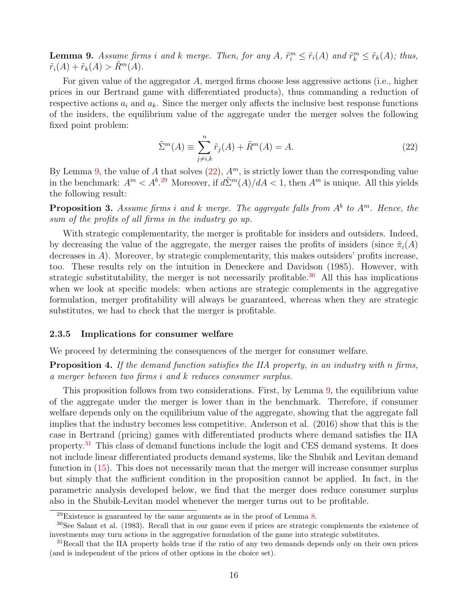<span id="page-17-0"></span>**Lemma 9.** Assume firms i and k merge. Then, for any A,  $\tilde{r}_i^m \leq \tilde{r}_i(A)$  and  $\tilde{r}_k^m \leq \tilde{r}_k(A)$ ; thus,  $\tilde{r}_i(A) + \tilde{r}_k(A) > \tilde{R}^m(A).$ 

For given value of the aggregator A, merged firms choose less aggressive actions (i.e., higher prices in our Bertrand game with differentiated products), thus commanding a reduction of respective actions  $a_i$  and  $a_k$ . Since the merger only affects the inclusive best response functions of the insiders, the equilibrium value of the aggregate under the merger solves the following fixed point problem:

<span id="page-17-1"></span>
$$
\tilde{\Sigma}^m(A) \equiv \sum_{j \neq i,k}^n \tilde{r}_j(A) + \tilde{R}^m(A) = A.
$$
\n(22)

By Lemma [9,](#page-17-0) the value of A that solves  $(22)$ ,  $A<sup>m</sup>$ , is strictly lower than the corresponding value in the benchmark:  $A^m < A^b$ <sup>[29](#page-1-0)</sup> Moreover, if  $d\tilde{\Sigma}^m(A)/dA < 1$ , then  $A^m$  is unique. All this yields the following result:

<span id="page-17-2"></span>**Proposition 3.** Assume firms i and k merge. The aggregate falls from  $A^b$  to  $A^m$ . Hence, the sum of the profits of all firms in the industry go up.

With strategic complementarity, the merger is profitable for insiders and outsiders. Indeed, by decreasing the value of the aggregate, the merger raises the profits of insiders (since  $\tilde{\pi}_i(A)$ ) decreases in  $A$ ). Moreover, by strategic complementarity, this makes outsiders' profits increase, too. These results rely on the intuition in Deneckere and Davidson (1985). However, with strategic substitutability, the merger is not necessarily profitable.<sup>[30](#page-1-0)</sup> All this has implications when we look at specific models: when actions are strategic complements in the aggregative formulation, merger profitability will always be guaranteed, whereas when they are strategic substitutes, we had to check that the merger is profitable.

#### 2.3.5 Implications for consumer welfare

We proceed by determining the consequences of the merger for consumer welfare.

<span id="page-17-3"></span>**Proposition 4.** If the demand function satisfies the IIA property, in an industry with n firms, a merger between two firms i and k reduces consumer surplus.

This proposition follows from two considerations. First, by Lemma [9,](#page-17-0) the equilibrium value of the aggregate under the merger is lower than in the benchmark. Therefore, if consumer welfare depends only on the equilibrium value of the aggregate, showing that the aggregate fall implies that the industry becomes less competitive. Anderson et al. (2016) show that this is the case in Bertrand (pricing) games with differentiated products where demand satisfies the IIA property.<sup>[31](#page-1-0)</sup> This class of demand functions include the logit and CES demand systems. It does not include linear differentiated products demand systems, like the Shubik and Levitan demand function in  $(15)$ . This does not necessarily mean that the merger will increase consumer surplus but simply that the sufficient condition in the proposition cannot be applied. In fact, in the parametric analysis developed below, we find that the merger does reduce consumer surplus also in the Shubik-Levitan model whenever the merger turns out to be profitable.

 $^{29}$ Existence is guaranteed by the same arguments as in the proof of Lemma [8.](#page-16-2)

<sup>30</sup>See Salant et al. (1983). Recall that in our game even if prices are strategic complements the existence of investments may turn actions in the aggregative formulation of the game into strategic substitutes.

<sup>&</sup>lt;sup>31</sup>Recall that the IIA property holds true if the ratio of any two demands depends only on their own prices (and is independent of the prices of other options in the choice set).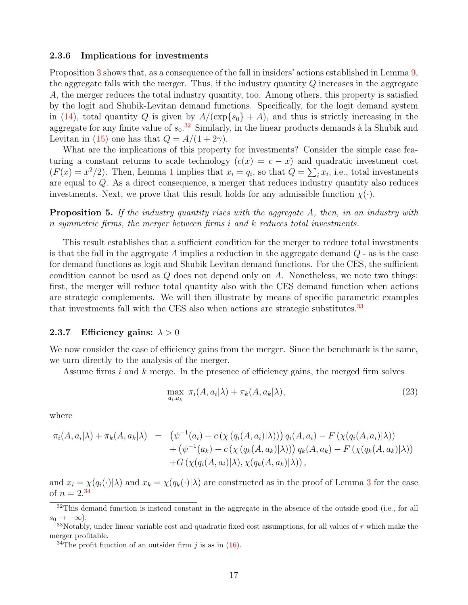#### 2.3.6 Implications for investments

Proposition [3](#page-17-2) shows that, as a consequence of the fall in insiders' actions established in Lemma [9,](#page-17-0) the aggregate falls with the merger. Thus, if the industry quantity Q increases in the aggregate A, the merger reduces the total industry quantity, too. Among others, this property is satisfied by the logit and Shubik-Levitan demand functions. Specifically, for the logit demand system in [\(14\)](#page-13-2), total quantity Q is given by  $A/(\exp\{s_0\}+A)$ , and thus is strictly increasing in the aggregate for any finite value of  $s_0$ .<sup>[32](#page-1-0)</sup> Similarly, in the linear products demands à la Shubik and Levitan in [\(15\)](#page-14-1) one has that  $Q = A/(1 + 2\gamma)$ .

What are the implications of this property for investments? Consider the simple case featuring a constant returns to scale technology  $(c(x) = c - x)$  and quadratic investment cost  $(F(x) = x^2/2)$ . Then, Lemma [1](#page-8-0) implies that  $x_i = q_i$ , so that  $Q = \sum_i x_i$ , i.e., total investments are equal to Q. As a direct consequence, a merger that reduces industry quantity also reduces investments. Next, we prove that this result holds for any admissible function  $\chi(\cdot)$ .

<span id="page-18-2"></span>**Proposition 5.** If the industry quantity rises with the aggregate A, then, in an industry with n symmetric firms, the merger between firms i and k reduces total investments.

This result establishes that a sufficient condition for the merger to reduce total investments is that the fall in the aggregate A implies a reduction in the aggregate demand  $Q$  - as is the case for demand functions as logit and Shubik Levitan demand functions. For the CES, the sufficient condition cannot be used as  $Q$  does not depend only on  $A$ . Nonetheless, we note two things: first, the merger will reduce total quantity also with the CES demand function when actions are strategic complements. We will then illustrate by means of specific parametric examples that investments fall with the CES also when actions are strategic substitutes.<sup>[33](#page-1-0)</sup>

#### <span id="page-18-1"></span>2.3.7 Efficiency gains:  $\lambda > 0$

We now consider the case of efficiency gains from the merger. Since the benchmark is the same, we turn directly to the analysis of the merger.

Assume firms  $i$  and  $k$  merge. In the presence of efficiency gains, the merged firm solves

<span id="page-18-0"></span>
$$
\max_{a_i, a_k} \pi_i(A, a_i | \lambda) + \pi_k(A, a_k | \lambda), \tag{23}
$$

where

$$
\pi_i(A, a_i | \lambda) + \pi_k(A, a_k | \lambda) = (\psi^{-1}(a_i) - c(\chi(q_i(A, a_i) | \lambda))) q_i(A, a_i) - F(\chi(q_i(A, a_i) | \lambda)) + (\psi^{-1}(a_k) - c(\chi(q_k(A, a_k) | \lambda))) q_k(A, a_k) - F(\chi(q_k(A, a_k) | \lambda)) + G(\chi(q_i(A, a_i) | \lambda), \chi(q_k(A, a_k) | \lambda)),
$$

and  $x_i = \chi(q_i(\cdot)|\lambda)$  and  $x_k = \chi(q_k(\cdot)|\lambda)$  are constructed as in the proof of Lemma [3](#page-12-0) for the case of  $n = 2^{34}$  $n = 2^{34}$  $n = 2^{34}$ 

 $32$ This demand function is instead constant in the aggregate in the absence of the outside good (i.e., for all  $s_0 \to -\infty$ ).

 $33$ Notably, under linear variable cost and quadratic fixed cost assumptions, for all values of r which make the merger profitable.

<sup>&</sup>lt;sup>34</sup>The profit function of an outsider firm j is as in [\(16\)](#page-14-0).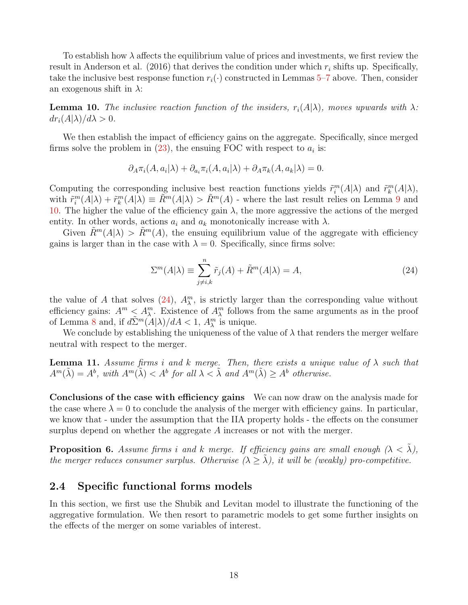To establish how  $\lambda$  affects the equilibrium value of prices and investments, we first review the result in Anderson et al. (2016) that derives the condition under which  $r_i$  shifts up. Specifically, take the inclusive best response function  $r_i(\cdot)$  constructed in Lemmas [5](#page-15-1)[–7](#page-16-3) above. Then, consider an exogenous shift in  $\lambda$ :

<span id="page-19-1"></span>**Lemma 10.** The inclusive reaction function of the insiders,  $r_i(A|\lambda)$ , moves upwards with  $\lambda$ :  $dr_i(A|\lambda)/d\lambda > 0.$ 

We then establish the impact of efficiency gains on the aggregate. Specifically, since merged firms solve the problem in  $(23)$ , the ensuing FOC with respect to  $a_i$  is:

$$
\partial_A \pi_i(A, a_i | \lambda) + \partial_{a_i} \pi_i(A, a_i | \lambda) + \partial_A \pi_k(A, a_k | \lambda) = 0.
$$

Computing the corresponding inclusive best reaction functions yields  $\tilde{r}_i^m(A|\lambda)$  and  $\tilde{r}_k^m(A|\lambda)$ , with  $\tilde{r}_i^m(A|\lambda) + \tilde{r}_k^m(A|\lambda) \equiv \tilde{R}^m(A|\lambda) > \tilde{R}^m(A)$  - where the last result relies on Lemma [9](#page-17-0) and [10.](#page-19-1) The higher the value of the efficiency gain  $\lambda$ , the more aggressive the actions of the merged entity. In other words, actions  $a_i$  and  $a_k$  monotonically increase with  $\lambda$ .

Given  $\tilde{R}^m(A|\lambda) > \tilde{R}^m(A)$ , the ensuing equilibrium value of the aggregate with efficiency gains is larger than in the case with  $\lambda = 0$ . Specifically, since firms solve:

<span id="page-19-2"></span>
$$
\Sigma^{m}(A|\lambda) \equiv \sum_{j \neq i,k}^{n} \tilde{r}_{j}(A) + \tilde{R}^{m}(A|\lambda) = A,
$$
\n(24)

the value of A that solves [\(24\)](#page-19-2),  $A_{\lambda}^{m}$ , is strictly larger than the corresponding value without efficiency gains:  $A^m \leq A^m_\lambda$ . Existence of  $A^m_\lambda$  follows from the same arguments as in the proof of Lemma [8](#page-16-2) and, if  $d\tilde{\Sigma}^m(A|\lambda)/dA < 1$ ,  $A_{\lambda}^m$  is unique.

We conclude by establishing the uniqueness of the value of  $\lambda$  that renders the merger welfare neutral with respect to the merger.

<span id="page-19-3"></span>**Lemma 11.** Assume firms i and k merge. Then, there exists a unique value of  $\lambda$  such that  $A^m(\tilde{\lambda}) = A^b$ , with  $A^m(\tilde{\lambda}) < A^b$  for all  $\lambda < \tilde{\lambda}$  and  $A^m(\tilde{\lambda}) \geq A^b$  otherwise.

Conclusions of the case with efficiency gains We can now draw on the analysis made for the case where  $\lambda = 0$  to conclude the analysis of the merger with efficiency gains. In particular, we know that - under the assumption that the IIA property holds - the effects on the consumer surplus depend on whether the aggregate A increases or not with the merger.

**Proposition 6.** Assume firms i and k merge. If efficiency gains are small enough  $(\lambda < \lambda)$ , the merger reduces consumer surplus. Otherwise  $(\lambda \geq \tilde{\lambda})$ , it will be (weakly) pro-competitive.

#### <span id="page-19-0"></span>2.4 Specific functional forms models

In this section, we first use the Shubik and Levitan model to illustrate the functioning of the aggregative formulation. We then resort to parametric models to get some further insights on the effects of the merger on some variables of interest.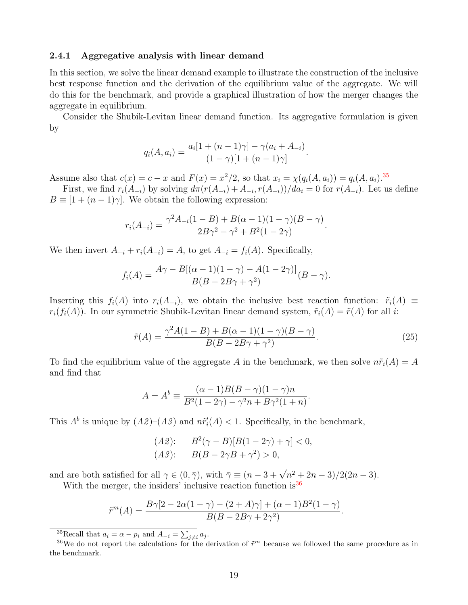#### 2.4.1 Aggregative analysis with linear demand

In this section, we solve the linear demand example to illustrate the construction of the inclusive best response function and the derivation of the equilibrium value of the aggregate. We will do this for the benchmark, and provide a graphical illustration of how the merger changes the aggregate in equilibrium.

Consider the Shubik-Levitan linear demand function. Its aggregative formulation is given by

$$
q_i(A, a_i) = \frac{a_i[1 + (n - 1)\gamma] - \gamma(a_i + A_{-i})}{(1 - \gamma)[1 + (n - 1)\gamma]}.
$$

Assume also that  $c(x) = c - x$  and  $F(x) = x^2/2$ , so that  $x_i = \chi(q_i(A, a_i)) = q_i(A, a_i).$ <sup>[35](#page-1-0)</sup>

First, we find  $r_i(A_{-i})$  by solving  $d\pi(r(A_{-i}) + A_{-i}, r(A_{-i}))/da_i = 0$  for  $r(A_{-i})$ . Let us define  $B \equiv [1 + (n-1)\gamma]$ . We obtain the following expression:

$$
r_i(A_{-i}) = \frac{\gamma^2 A_{-i}(1-B) + B(\alpha - 1)(1 - \gamma)(B - \gamma)}{2B\gamma^2 - \gamma^2 + B^2(1 - 2\gamma)}.
$$

We then invert  $A_{-i} + r_i(A_{-i}) = A$ , to get  $A_{-i} = f_i(A)$ . Specifically,

$$
f_i(A) = \frac{A\gamma - B[(\alpha - 1)(1 - \gamma) - A(1 - 2\gamma)]}{B(B - 2B\gamma + \gamma^2)}(B - \gamma).
$$

Inserting this  $f_i(A)$  into  $r_i(A_{-i})$ , we obtain the inclusive best reaction function:  $\tilde{r}_i(A) \equiv$  $r_i(f_i(A))$ . In our symmetric Shubik-Levitan linear demand system,  $\tilde{r}_i(A) = \tilde{r}(A)$  for all i:

<span id="page-20-0"></span>
$$
\tilde{r}(A) = \frac{\gamma^2 A (1 - B) + B(\alpha - 1)(1 - \gamma)(B - \gamma)}{B(B - 2B\gamma + \gamma^2)}.
$$
\n(25)

To find the equilibrium value of the aggregate A in the benchmark, we then solve  $n\tilde{r}_i(A) = A$ and find that

$$
A = A^{b} \equiv \frac{(\alpha - 1)B(B - \gamma)(1 - \gamma)n}{B^{2}(1 - 2\gamma) - \gamma^{2}n + B\gamma^{2}(1 + n)}.
$$

This  $A^b$  is unique by  $(A2)$ – $(A3)$  and  $n\tilde{r}'_i(A) < 1$ . Specifically, in the benchmark,

(A2): 
$$
B^2(\gamma - B)[B(1 - 2\gamma) + \gamma] < 0,
$$
  
(A3):  $B(B - 2\gamma B + \gamma^2) > 0,$ 

and are both satisfied for all  $\gamma \in (0, \bar{\gamma})$ , with  $\bar{\gamma} \equiv (n - 3 + \sqrt{n^2 + 2n - 3})/2(2n - 3)$ .

With the merger, the insiders' inclusive reaction function is  $36$ 

$$
\tilde{r}^{m}(A) = \frac{B\gamma[2 - 2\alpha(1 - \gamma) - (2 + A)\gamma] + (\alpha - 1)B^{2}(1 - \gamma)}{B(B - 2B\gamma + 2\gamma^{2})}.
$$

<sup>35</sup>Recall that  $a_i = \alpha - p_i$  and  $A_{-i} = \sum_{j \neq i} a_j$ .

<sup>&</sup>lt;sup>36</sup>We do not report the calculations for the derivation of  $\tilde{r}^m$  because we followed the same procedure as in the benchmark.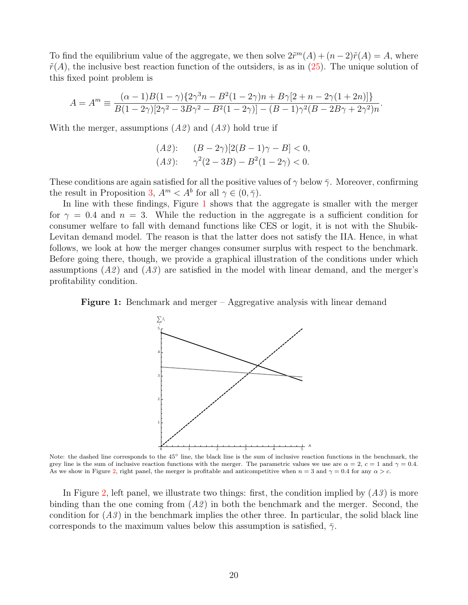To find the equilibrium value of the aggregate, we then solve  $2\tilde{r}^m(A) + (n-2)\tilde{r}(A) = A$ , where  $\tilde{r}(A)$ , the inclusive best reaction function of the outsiders, is as in  $(25)$ . The unique solution of this fixed point problem is

$$
A = Am \equiv \frac{(\alpha - 1)B(1 - \gamma)\{2\gamma^3 n - B^2(1 - 2\gamma)n + B\gamma[2 + n - 2\gamma(1 + 2n)]\}}{B(1 - 2\gamma)[2\gamma^2 - 3B\gamma^2 - B^2(1 - 2\gamma)] - (B - 1)\gamma^2(B - 2B\gamma + 2\gamma^2)n}.
$$

With the merger, assumptions  $(A2)$  and  $(A3)$  hold true if

$$
(A2): \t(B-2\gamma)[2(B-1)\gamma - B] < 0,
$$
  

$$
(A3): \gamma^2(2-3B) - B^2(1-2\gamma) < 0.
$$

These conditions are again satisfied for all the positive values of  $\gamma$  below  $\bar{\gamma}$ . Moreover, confirming the result in Proposition [3,](#page-17-2)  $A^m < A^b$  for all  $\gamma \in (0, \overline{\gamma})$ .

In line with these findings, Figure [1](#page-21-0) shows that the aggregate is smaller with the merger for  $\gamma = 0.4$  and  $n = 3$ . While the reduction in the aggregate is a sufficient condition for consumer welfare to fall with demand functions like CES or logit, it is not with the Shubik-Levitan demand model. The reason is that the latter does not satisfy the IIA. Hence, in what follows, we look at how the merger changes consumer surplus with respect to the benchmark. Before going there, though, we provide a graphical illustration of the conditions under which assumptions  $(A2)$  and  $(A3)$  are satisfied in the model with linear demand, and the merger's profitability condition.

<span id="page-21-0"></span>



Note: the dashed line corresponds to the 45° line, the black line is the sum of inclusive reaction functions in the benchmark, the grey line is the sum of inclusive reaction functions with the merger. The parametric values we use are  $\alpha = 2$ ,  $c = 1$  and  $\gamma = 0.4$ . As we show in Figure [2,](#page-22-0) right panel, the merger is profitable and anticompetitive when  $n = 3$  and  $\gamma = 0.4$  for any  $\alpha > c$ .

In Figure [2,](#page-22-0) left panel, we illustrate two things: first, the condition implied by  $(A3)$  is more binding than the one coming from  $(A2)$  in both the benchmark and the merger. Second, the condition for  $(A3)$  in the benchmark implies the other three. In particular, the solid black line corresponds to the maximum values below this assumption is satisfied,  $\bar{\gamma}$ .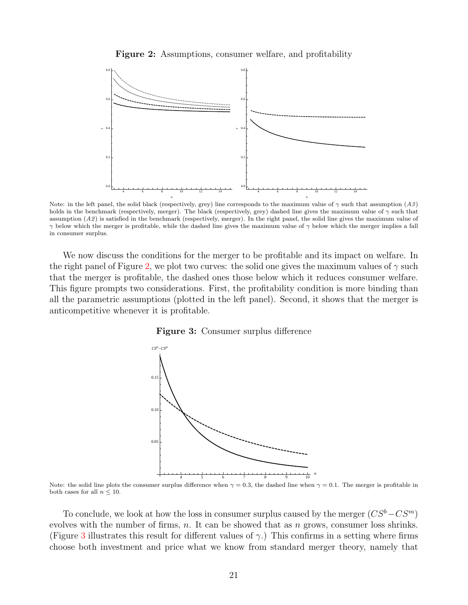Figure 2: Assumptions, consumer welfare, and profitability

<span id="page-22-0"></span>

Note: in the left panel, the solid black (respectively, grey) line corresponds to the maximum value of  $\gamma$  such that assumption (A3) holds in the benchmark (respectively, merger). The black (respectively, grey) dashed line gives the maximum value of  $\gamma$  such that assumption (A2) is satisfied in the benchmark (respectively, merger). In the right panel, the solid line gives the maximum value of  $\gamma$  below which the merger is profitable, while the dashed line gives the maximum value of  $\gamma$  below which the merger implies a fall in consumer surplus.

<span id="page-22-1"></span>We now discuss the conditions for the merger to be profitable and its impact on welfare. In the right panel of Figure [2,](#page-22-0) we plot two curves: the solid one gives the maximum values of  $\gamma$  such that the merger is profitable, the dashed ones those below which it reduces consumer welfare. This figure prompts two considerations. First, the profitability condition is more binding than all the parametric assumptions (plotted in the left panel). Second, it shows that the merger is anticompetitive whenever it is profitable.





Note: the solid line plots the consumer surplus difference when  $\gamma = 0.3$ , the dashed line when  $\gamma = 0.1$ . The merger is profitable in both cases for all  $n \leq 10$ .

*n*

To conclude, we look at how the loss in consumer surplus caused by the merger  $(CS^b-CS^m)$ evolves with the number of firms, n. It can be showed that as n grows, consumer loss shrinks. (Figure [3](#page-22-1) illustrates this result for different values of  $\gamma$ .) This confirms in a setting where firms choose both investment and price what we know from standard merger theory, namely that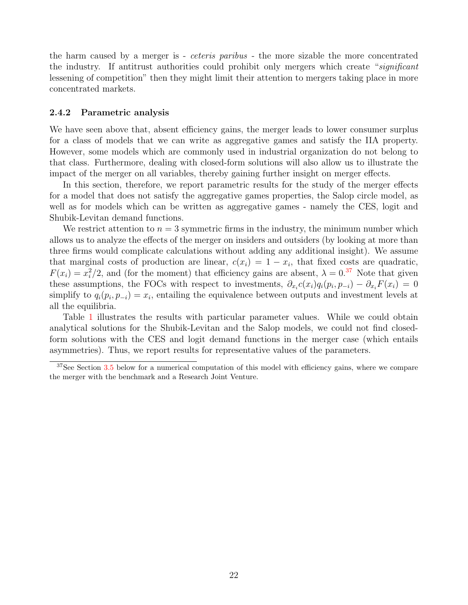the harm caused by a merger is - ceteris paribus - the more sizable the more concentrated the industry. If antitrust authorities could prohibit only mergers which create "significant" lessening of competition" then they might limit their attention to mergers taking place in more concentrated markets.

#### 2.4.2 Parametric analysis

We have seen above that, absent efficiency gains, the merger leads to lower consumer surplus for a class of models that we can write as aggregative games and satisfy the IIA property. However, some models which are commonly used in industrial organization do not belong to that class. Furthermore, dealing with closed-form solutions will also allow us to illustrate the impact of the merger on all variables, thereby gaining further insight on merger effects.

In this section, therefore, we report parametric results for the study of the merger effects for a model that does not satisfy the aggregative games properties, the Salop circle model, as well as for models which can be written as aggregative games - namely the CES, logit and Shubik-Levitan demand functions.

We restrict attention to  $n = 3$  symmetric firms in the industry, the minimum number which allows us to analyze the effects of the merger on insiders and outsiders (by looking at more than three firms would complicate calculations without adding any additional insight). We assume that marginal costs of production are linear,  $c(x_i) = 1 - x_i$ , that fixed costs are quadratic,  $F(x_i) = x_i^2/2$ , and (for the moment) that efficiency gains are absent,  $\lambda = 0.37$  $\lambda = 0.37$  Note that given these assumptions, the FOCs with respect to investments,  $\partial_{x_i} c(x_i) q_i(p_i, p_{-i}) - \partial_{x_i} F(x_i) = 0$ simplify to  $q_i(p_i, p_{-i}) = x_i$ , entailing the equivalence between outputs and investment levels at all the equilibria.

Table [1](#page-24-0) illustrates the results with particular parameter values. While we could obtain analytical solutions for the Shubik-Levitan and the Salop models, we could not find closedform solutions with the CES and logit demand functions in the merger case (which entails asymmetries). Thus, we report results for representative values of the parameters.

 $37$ See Section [3.5](#page-33-0) below for a numerical computation of this model with efficiency gains, where we compare the merger with the benchmark and a Research Joint Venture.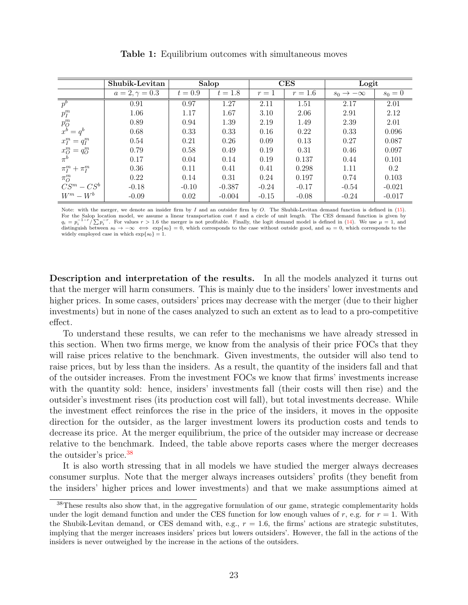<span id="page-24-0"></span>

|                                                       | Shubik-Levitan        |           | Salop     |         | $\rm{CES}$ | Logit                     |           |
|-------------------------------------------------------|-----------------------|-----------|-----------|---------|------------|---------------------------|-----------|
|                                                       | $a = 2, \gamma = 0.3$ | $t = 0.9$ | $t = 1.8$ | $r=1$   | $r = 1.6$  | $s_0 \rightarrow -\infty$ | $s_0 = 0$ |
| $p^b$                                                 | 0.91                  | 0.97      | 1.27      | 2.11    | 1.51       | 2.17                      | 2.01      |
| $p_I^m$                                               | 1.06                  | 1.17      | 1.67      | 3.10    | 2.06       | 2.91                      | 2.12      |
| $p_O^m$                                               | 0.89                  | 0.94      | 1.39      | 2.19    | 1.49       | 2.39                      | 2.01      |
| $x^b = q^b$                                           | 0.68                  | 0.33      | 0.33      | 0.16    | 0.22       | 0.33                      | 0.096     |
| $x_I^m = q_I^m$                                       | 0.54                  | 0.21      | 0.26      | 0.09    | 0.13       | 0.27                      | 0.087     |
| $\begin{array}{c} x_O^m = q_O^m \\ \pi^b \end{array}$ | 0.79                  | 0.58      | 0.49      | 0.19    | 0.31       | 0.46                      | 0.097     |
|                                                       | 0.17                  | 0.04      | 0.14      | 0.19    | 0.137      | 0.44                      | 0.101     |
| $\pi_I^m + \pi_I^m$                                   | 0.36                  | 0.11      | 0.41      | 0.41    | 0.298      | 1.11                      | 0.2       |
| $\pi^m_O$                                             | 0.22                  | 0.14      | 0.31      | 0.24    | 0.197      | 0.74                      | 0.103     |
| $CS^m - CS^b$                                         | $-0.18$               | $-0.10$   | $-0.387$  | $-0.24$ | $-0.17$    | $-0.54$                   | $-0.021$  |
| $W^m-W^b$                                             | $-0.09$               | 0.02      | $-0.004$  | $-0.15$ | $-0.08$    | $-0.24$                   | $-0.017$  |

Table 1: Equilibrium outcomes with simultaneous moves

Note: with the merger, we denote an insider firm by  $I$  and an outsider firm by  $O$ . The Shubik-Levitan demand function is defined in [\(15\)](#page-14-1). For the Salop location model, we assume a linear transportation cost t and a circle of unit length. The CES demand function is given by  $a_n = n^{-1-r} \sum_{n=1}^{r} E_n$  where  $n > 1.6$  the person is not profitable. Finally, the legi  $q_i = p$ .  $q_i - p_i$  /  $\sum P_i$ . For values  $i > 1.0$  the merger is not promable. Finally, the logit demand model is defined in  $(14)$ . We use  $\mu = 1$ , and distinguish between  $s_0 \to -\infty \iff \exp\{s_0\} = 0$ , which corresponds to the case with  $\sqrt{\sum p_i^{-r}}$ . For values  $r > 1.6$  the merger is not profitable. Finally, the logit demand model is defined in [\(14\)](#page-13-2). We use  $\mu = 1$ , and widely employed case in which  $\exp\{s_0\} = 1$ .

Description and interpretation of the results. In all the models analyzed it turns out that the merger will harm consumers. This is mainly due to the insiders' lower investments and higher prices. In some cases, outsiders' prices may decrease with the merger (due to their higher investments) but in none of the cases analyzed to such an extent as to lead to a pro-competitive effect.

To understand these results, we can refer to the mechanisms we have already stressed in this section. When two firms merge, we know from the analysis of their price FOCs that they will raise prices relative to the benchmark. Given investments, the outsider will also tend to raise prices, but by less than the insiders. As a result, the quantity of the insiders fall and that of the outsider increases. From the investment FOCs we know that firms' investments increase with the quantity sold: hence, insiders' investments fall (their costs will then rise) and the outsider's investment rises (its production cost will fall), but total investments decrease. While the investment effect reinforces the rise in the price of the insiders, it moves in the opposite direction for the outsider, as the larger investment lowers its production costs and tends to decrease its price. At the merger equilibrium, the price of the outsider may increase or decrease relative to the benchmark. Indeed, the table above reports cases where the merger decreases the outsider's price.[38](#page-1-0)

It is also worth stressing that in all models we have studied the merger always decreases consumer surplus. Note that the merger always increases outsiders' profits (they benefit from the insiders' higher prices and lower investments) and that we make assumptions aimed at

<sup>&</sup>lt;sup>38</sup>These results also show that, in the aggregative formulation of our game, strategic complementarity holds under the logit demand function and under the CES function for low enough values of r, e.g. for  $r = 1$ . With the Shubik-Levitan demand, or CES demand with, e.g.,  $r = 1.6$ , the firms' actions are strategic substitutes, implying that the merger increases insiders' prices but lowers outsiders'. However, the fall in the actions of the insiders is never outweighed by the increase in the actions of the outsiders.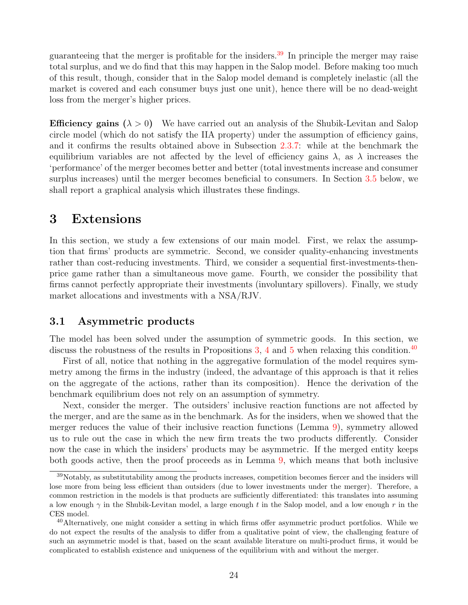guaranteeing that the merger is profitable for the insiders.<sup>[39](#page-1-0)</sup> In principle the merger may raise total surplus, and we do find that this may happen in the Salop model. Before making too much of this result, though, consider that in the Salop model demand is completely inelastic (all the market is covered and each consumer buys just one unit), hence there will be no dead-weight loss from the merger's higher prices.

**Efficiency gains**  $(\lambda > 0)$  We have carried out an analysis of the Shubik-Levitan and Salop circle model (which do not satisfy the IIA property) under the assumption of efficiency gains, and it confirms the results obtained above in Subsection [2.3.7:](#page-18-1) while at the benchmark the equilibrium variables are not affected by the level of efficiency gains  $\lambda$ , as  $\lambda$  increases the 'performance' of the merger becomes better and better (total investments increase and consumer surplus increases) until the merger becomes beneficial to consumers. In Section [3.5](#page-33-0) below, we shall report a graphical analysis which illustrates these findings.

## <span id="page-25-0"></span>3 Extensions

In this section, we study a few extensions of our main model. First, we relax the assumption that firms' products are symmetric. Second, we consider quality-enhancing investments rather than cost-reducing investments. Third, we consider a sequential first-investments-thenprice game rather than a simultaneous move game. Fourth, we consider the possibility that firms cannot perfectly appropriate their investments (involuntary spillovers). Finally, we study market allocations and investments with a NSA/RJV.

### <span id="page-25-1"></span>3.1 Asymmetric products

The model has been solved under the assumption of symmetric goods. In this section, we discuss the robustness of the results in Propositions [3,](#page-17-2) [4](#page-17-3) and [5](#page-18-2) when relaxing this condition.<sup>[40](#page-1-0)</sup>

First of all, notice that nothing in the aggregative formulation of the model requires symmetry among the firms in the industry (indeed, the advantage of this approach is that it relies on the aggregate of the actions, rather than its composition). Hence the derivation of the benchmark equilibrium does not rely on an assumption of symmetry.

Next, consider the merger. The outsiders' inclusive reaction functions are not affected by the merger, and are the same as in the benchmark. As for the insiders, when we showed that the merger reduces the value of their inclusive reaction functions (Lemma [9\)](#page-17-0), symmetry allowed us to rule out the case in which the new firm treats the two products differently. Consider now the case in which the insiders' products may be asymmetric. If the merged entity keeps both goods active, then the proof proceeds as in Lemma [9,](#page-17-0) which means that both inclusive

<sup>&</sup>lt;sup>39</sup>Notably, as substitutability among the products increases, competition becomes fiercer and the insiders will lose more from being less efficient than outsiders (due to lower investments under the merger). Therefore, a common restriction in the models is that products are sufficiently differentiated: this translates into assuming a low enough  $\gamma$  in the Shubik-Levitan model, a large enough t in the Salop model, and a low enough r in the CES model.

<sup>&</sup>lt;sup>40</sup>Alternatively, one might consider a setting in which firms offer asymmetric product portfolios. While we do not expect the results of the analysis to differ from a qualitative point of view, the challenging feature of such an asymmetric model is that, based on the scant available literature on multi-product firms, it would be complicated to establish existence and uniqueness of the equilibrium with and without the merger.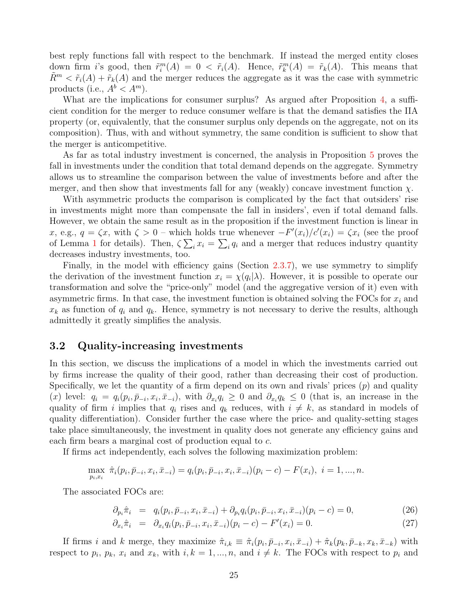best reply functions fall with respect to the benchmark. If instead the merged entity closes down firm i's good, then  $\tilde{r}_i^m(A) = 0 < \tilde{r}_i(A)$ . Hence,  $\tilde{r}_k^m(A) = \tilde{r}_k(A)$ . This means that  $R^m < \tilde{r}_i(A) + \tilde{r}_k(A)$  and the merger reduces the aggregate as it was the case with symmetric products (i.e.,  $A^b < A^m$ ).

What are the implications for consumer surplus? As argued after Proposition [4,](#page-17-3) a sufficient condition for the merger to reduce consumer welfare is that the demand satisfies the IIA property (or, equivalently, that the consumer surplus only depends on the aggregate, not on its composition). Thus, with and without symmetry, the same condition is sufficient to show that the merger is anticompetitive.

As far as total industry investment is concerned, the analysis in Proposition [5](#page-18-2) proves the fall in investments under the condition that total demand depends on the aggregate. Symmetry allows us to streamline the comparison between the value of investments before and after the merger, and then show that investments fall for any (weakly) concave investment function  $\chi$ .

With asymmetric products the comparison is complicated by the fact that outsiders' rise in investments might more than compensate the fall in insiders', even if total demand falls. However, we obtain the same result as in the proposition if the investment function is linear in x, e.g.,  $q = \zeta x$ , with  $\zeta > 0$  – which holds true whenever  $-F'(x_i)/c'(x_i) = \zeta x_i$  (see the proof of Lemma [1](#page-8-0) for details). Then,  $\zeta \sum_i x_i = \sum_i q_i$  and a merger that reduces industry quantity decreases industry investments, too.

Finally, in the model with efficiency gains (Section [2.3.7\)](#page-18-1), we use symmetry to simplify the derivation of the investment function  $x_i = \chi(q_i|\lambda)$ . However, it is possible to operate our transformation and solve the "price-only" model (and the aggregative version of it) even with asymmetric firms. In that case, the investment function is obtained solving the FOCs for  $x_i$  and  $x_k$  as function of  $q_i$  and  $q_k$ . Hence, symmetry is not necessary to derive the results, although admittedly it greatly simplifies the analysis.

#### 3.2 Quality-increasing investments

In this section, we discuss the implications of a model in which the investments carried out by firms increase the quality of their good, rather than decreasing their cost of production. Specifically, we let the quantity of a firm depend on its own and rivals' prices  $(p)$  and quality (x) level:  $q_i = q_i(p_i, \bar{p}_{-i}, x_i, \bar{x}_{-i})$ , with  $\partial_{x_i} q_i \geq 0$  and  $\partial_{x_i} q_k \leq 0$  (that is, an increase in the quality of firm i implies that  $q_i$  rises and  $q_k$  reduces, with  $i \neq k$ , as standard in models of quality differentiation). Consider further the case where the price- and quality-setting stages take place simultaneously, the investment in quality does not generate any efficiency gains and each firm bears a marginal cost of production equal to c.

If firms act independently, each solves the following maximization problem:

$$
\max_{p_i, x_i} \hat{\pi}_i(p_i, \bar{p}_{-i}, x_i, \bar{x}_{-i}) = q_i(p_i, \bar{p}_{-i}, x_i, \bar{x}_{-i})(p_i - c) - F(x_i), \quad i = 1, ..., n.
$$

The associated FOCs are:

<span id="page-26-0"></span>
$$
\partial_{p_i}\hat{\pi}_i = q_i(p_i, \bar{p}_{-i}, x_i, \bar{x}_{-i}) + \partial_{p_i}q_i(p_i, \bar{p}_{-i}, x_i, \bar{x}_{-i})(p_i - c) = 0, \qquad (26)
$$

$$
\partial_{x_i}\hat{\pi}_i = \partial_{x_i}q_i(p_i, \bar{p}_{-i}, x_i, \bar{x}_{-i})(p_i - c) - F'(x_i) = 0.
$$
\n(27)

If firms i and k merge, they maximize  $\hat{\pi}_{i,k} \equiv \hat{\pi}_i(p_i, \bar{p}_{-i}, x_i, \bar{x}_{-i}) + \hat{\pi}_k(p_k, \bar{p}_{-k}, x_k, \bar{x}_{-k})$  with respect to  $p_i$ ,  $p_k$ ,  $x_i$  and  $x_k$ , with  $i, k = 1, ..., n$ , and  $i \neq k$ . The FOCs with respect to  $p_i$  and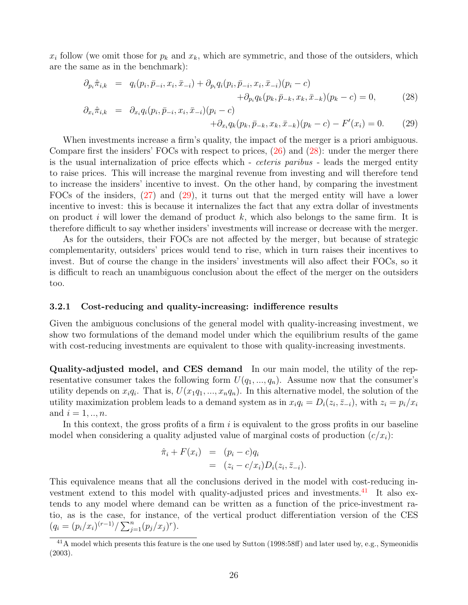$x_i$  follow (we omit those for  $p_k$  and  $x_k$ , which are symmetric, and those of the outsiders, which are the same as in the benchmark):

<span id="page-27-0"></span>
$$
\partial_{p_i} \hat{\pi}_{i,k} = q_i(p_i, \bar{p}_{-i}, x_i, \bar{x}_{-i}) + \partial_{p_i} q_i(p_i, \bar{p}_{-i}, x_i, \bar{x}_{-i})(p_i - c) + \partial_{p_i} q_k(p_k, \bar{p}_{-k}, x_k, \bar{x}_{-k})(p_k - c) = 0,
$$
\n(28)

$$
\partial_{x_i} \hat{\pi}_{i,k} = \partial_{x_i} q_i (p_i, \bar{p}_{-i}, x_i, \bar{x}_{-i}) (p_i - c) \n+ \partial_{x_i} q_k (p_k, \bar{p}_{-k}, x_k, \bar{x}_{-k}) (p_k - c) - F'(x_i) = 0.
$$
\n(29)

When investments increase a firm's quality, the impact of the merger is a priori ambiguous. Compare first the insiders' FOCs with respect to prices,  $(26)$  and  $(28)$ : under the merger there is the usual internalization of price effects which - ceteris paribus - leads the merged entity to raise prices. This will increase the marginal revenue from investing and will therefore tend to increase the insiders' incentive to invest. On the other hand, by comparing the investment FOCs of the insiders, [\(27\)](#page-26-0) and [\(29\)](#page-27-0), it turns out that the merged entity will have a lower incentive to invest: this is because it internalizes the fact that any extra dollar of investments on product i will lower the demand of product k, which also belongs to the same firm. It is therefore difficult to say whether insiders' investments will increase or decrease with the merger.

As for the outsiders, their FOCs are not affected by the merger, but because of strategic complementarity, outsiders' prices would tend to rise, which in turn raises their incentives to invest. But of course the change in the insiders' investments will also affect their FOCs, so it is difficult to reach an unambiguous conclusion about the effect of the merger on the outsiders too.

#### 3.2.1 Cost-reducing and quality-increasing: indifference results

Given the ambiguous conclusions of the general model with quality-increasing investment, we show two formulations of the demand model under which the equilibrium results of the game with cost-reducing investments are equivalent to those with quality-increasing investments.

Quality-adjusted model, and CES demand In our main model, the utility of the representative consumer takes the following form  $U(q_1, ..., q_n)$ . Assume now that the consumer's utility depends on  $x_iq_i$ . That is,  $U(x_1q_1,\ldots,x_nq_n)$ . In this alternative model, the solution of the utility maximization problem leads to a demand system as in  $x_i q_i = D_i(z_i, \bar{z}_{-i})$ , with  $z_i = p_i/x_i$ and  $i = 1, ..., n$ .

In this context, the gross profits of a firm  $i$  is equivalent to the gross profits in our baseline model when considering a quality adjusted value of marginal costs of production  $(c/x_i)$ :

$$
\hat{\pi}_i + F(x_i) = (p_i - c)q_i
$$
  
= 
$$
(z_i - c/x_i)D_i(z_i, \bar{z}_{-i}).
$$

This equivalence means that all the conclusions derived in the model with cost-reducing in-vestment extend to this model with quality-adjusted prices and investments.<sup>[41](#page-1-0)</sup> It also extends to any model where demand can be written as a function of the price-investment ratio, as is the case, for instance, of the vertical product differentiation version of the CES  $(q_i = (p_i/x_i)^{(r-1)}/\sum_{j=1}^n (p_j/x_j)^r).$ 

<sup>41</sup>A model which presents this feature is the one used by Sutton (1998:58ff) and later used by, e.g., Symeonidis (2003).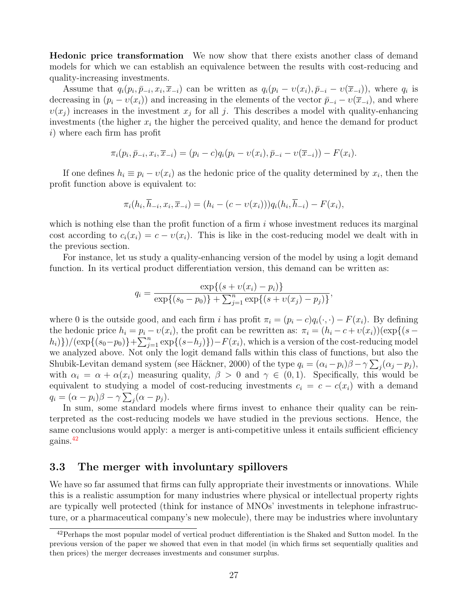Hedonic price transformation We now show that there exists another class of demand models for which we can establish an equivalence between the results with cost-reducing and quality-increasing investments.

Assume that  $q_i(p_i, \bar{p}_{-i}, x_i, \bar{x}_{-i})$  can be written as  $q_i(p_i - v(x_i), \bar{p}_{-i} - v(\bar{x}_{-i}))$ , where  $q_i$  is decreasing in  $(p_i - v(x_i))$  and increasing in the elements of the vector  $\bar{p}_{-i} - v(\bar{x}_{-i})$ , and where  $v(x_j)$  increases in the investment  $x_j$  for all j. This describes a model with quality-enhancing investments (the higher  $x_i$  the higher the perceived quality, and hence the demand for product i) where each firm has profit

$$
\pi_i(p_i, \bar{p}_{-i}, x_i, \bar{x}_{-i}) = (p_i - c)q_i(p_i - v(x_i), \bar{p}_{-i} - v(\bar{x}_{-i})) - F(x_i).
$$

If one defines  $h_i \equiv p_i - v(x_i)$  as the hedonic price of the quality determined by  $x_i$ , then the profit function above is equivalent to:

$$
\pi_i(h_i, \overline{h}_{-i}, x_i, \overline{x}_{-i}) = (h_i - (c - v(x_i)))q_i(h_i, \overline{h}_{-i}) - F(x_i),
$$

which is nothing else than the profit function of a firm  $i$  whose investment reduces its marginal cost according to  $c_i(x_i) = c - v(x_i)$ . This is like in the cost-reducing model we dealt with in the previous section.

For instance, let us study a quality-enhancing version of the model by using a logit demand function. In its vertical product differentiation version, this demand can be written as:

$$
q_i = \frac{\exp\{(s + \upsilon(x_i) - p_i)\}}{\exp\{(s_0 - p_0)\} + \sum_{j=1}^n \exp\{(s + \upsilon(x_j) - p_j)\}},
$$

where 0 is the outside good, and each firm i has profit  $\pi_i = (p_i - c)q_i(\cdot, \cdot) - F(x_i)$ . By defining the hedonic price  $h_i = p_i - v(x_i)$ , the profit can be rewritten as:  $\pi_i = (h_i - c + v(x_i))(\exp\{(s$  $h_i)$ })/( $\exp\{(s_0-p_0)\}+\sum_{j=1}^n \exp\{(s-h_j)\}$ )– $F(x_i)$ , which is a version of the cost-reducing model we analyzed above. Not only the logit demand falls within this class of functions, but also the Shubik-Levitan demand system (see Häckner, 2000) of the type  $q_i = (\alpha_i - p_i)\beta - \gamma \sum_j (\alpha_j - p_j)$ , with  $\alpha_i = \alpha + \alpha(x_i)$  measuring quality,  $\beta > 0$  and  $\gamma \in (0,1)$ . Specifically, this would be equivalent to studying a model of cost-reducing investments  $c_i = c - c(x_i)$  with a demand  $q_i = (\alpha - p_i)\beta - \gamma \sum_j (\alpha - p_j).$ 

In sum, some standard models where firms invest to enhance their quality can be reinterpreted as the cost-reducing models we have studied in the previous sections. Hence, the same conclusions would apply: a merger is anti-competitive unless it entails sufficient efficiency gains.[42](#page-1-0)

#### <span id="page-28-0"></span>3.3 The merger with involuntary spillovers

We have so far assumed that firms can fully appropriate their investments or innovations. While this is a realistic assumption for many industries where physical or intellectual property rights are typically well protected (think for instance of MNOs' investments in telephone infrastructure, or a pharmaceutical company's new molecule), there may be industries where involuntary

<sup>&</sup>lt;sup>42</sup>Perhaps the most popular model of vertical product differentiation is the Shaked and Sutton model. In the previous version of the paper we showed that even in that model (in which firms set sequentially qualities and then prices) the merger decreases investments and consumer surplus.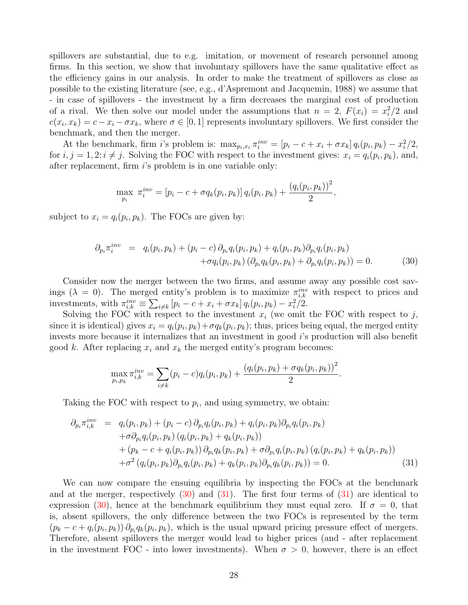spillovers are substantial, due to e.g. imitation, or movement of research personnel among firms. In this section, we show that involuntary spillovers have the same qualitative effect as the efficiency gains in our analysis. In order to make the treatment of spillovers as close as possible to the existing literature (see, e.g., d'Aspremont and Jacquemin, 1988) we assume that - in case of spillovers - the investment by a firm decreases the marginal cost of production of a rival. We then solve our model under the assumptions that  $n = 2$ ,  $F(x_i) = x_i^2/2$  and  $c(x_i, x_k) = c - x_i - \sigma x_k$ , where  $\sigma \in [0, 1]$  represents involuntary spillovers. We first consider the benchmark, and then the merger.

At the benchmark, firm *i*'s problem is:  $\max_{p_i, x_i} \pi_i^{inv} = [p_i - c + x_i + \sigma x_k] q_i(p_i, p_k) - x_i^2/2$ , for  $i, j = 1, 2; i \neq j$ . Solving the FOC with respect to the investment gives:  $x_i = q_i(p_i, p_k)$ , and, after replacement, firm  $i$ 's problem is in one variable only:

$$
\max_{p_i} \ \pi_i^{inv} = [p_i - c + \sigma q_k(p_i, p_k)] \, q_i(p_i, p_k) + \frac{\left(q_i(p_i, p_k)\right)^2}{2},
$$

subject to  $x_i = q_i(p_i, p_k)$ . The FOCs are given by:

<span id="page-29-0"></span>
$$
\partial_{p_i} \pi_i^{inv} = q_i(p_i, p_k) + (p_i - c) \partial_{p_i} q_i(p_i, p_k) + q_i(p_i, p_k) \partial_{p_i} q_i(p_i, p_k) \n+ \sigma q_i(p_i, p_k) (\partial_{p_i} q_k(p_i, p_k) + \partial_{p_i} q_i(p_i, p_k)) = 0.
$$
\n(30)

Consider now the merger between the two firms, and assume away any possible cost savings ( $\lambda = 0$ ). The merged entity's problem is to maximize  $\pi_{i,k}^{inv}$  with respect to prices and investments, with  $\pi_{i,k}^{inv} \equiv \sum_{i \neq k} [p_i - c + x_i + \sigma x_k] q_i(p_i, p_k) - x_i^2/2$ .

Solving the FOC with respect to the investment  $x_i$  (we omit the FOC with respect to j, since it is identical) gives  $x_i = q_i(p_i, p_k) + \sigma q_k(p_i, p_k)$ ; thus, prices being equal, the merged entity invests more because it internalizes that an investment in good *i*'s production will also benefit good k. After replacing  $x_i$  and  $x_k$  the merged entity's program becomes:

$$
\max_{p_i, p_k} \pi_{i,k}^{inv} = \sum_{i \neq k} (p_i - c) q_i(p_i, p_k) + \frac{(q_i(p_i, p_k) + \sigma q_k(p_i, p_k))^2}{2}.
$$

Taking the FOC with respect to  $p_i$ , and using symmetry, we obtain:

<span id="page-29-1"></span>
$$
\partial_{p_i} \pi_{i,k}^{inv} = q_i(p_i, p_k) + (p_i - c) \partial_{p_i} q_i(p_i, p_k) + q_i(p_i, p_k) \partial_{p_i} q_i(p_i, p_k) \n+ \sigma \partial_{p_i} q_i(p_i, p_k) (q_i(p_i, p_k) + q_k(p_i, p_k)) \n+ (p_k - c + q_i(p_i, p_k)) \partial_{p_i} q_k(p_i, p_k) + \sigma \partial_{p_i} q_i(p_i, p_k) (q_i(p_i, p_k) + q_k(p_i, p_k)) \n+ \sigma^2 (q_i(p_i, p_k) \partial_{p_i} q_i(p_i, p_k) + q_k(p_i, p_k) \partial_{p_i} q_k(p_i, p_k)) = 0.
$$
\n(31)

We can now compare the ensuing equilibria by inspecting the FOCs at the benchmark and at the merger, respectively  $(30)$  and  $(31)$ . The first four terms of  $(31)$  are identical to expression [\(30\)](#page-29-0), hence at the benchmark equilibrium they must equal zero. If  $\sigma = 0$ , that is, absent spillovers, the only difference between the two FOCs is represented by the term  $(p_k - c + q_i(p_i, p_k)) \partial_{p_i} q_k(p_i, p_k)$ , which is the usual upward pricing pressure effect of mergers. Therefore, absent spillovers the merger would lead to higher prices (and - after replacement in the investment FOC - into lower investments). When  $\sigma > 0$ , however, there is an effect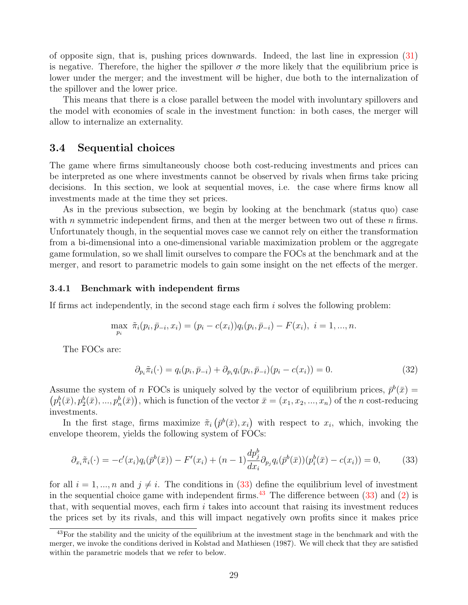of opposite sign, that is, pushing prices downwards. Indeed, the last line in expression [\(31\)](#page-29-1) is negative. Therefore, the higher the spillover  $\sigma$  the more likely that the equilibrium price is lower under the merger; and the investment will be higher, due both to the internalization of the spillover and the lower price.

This means that there is a close parallel between the model with involuntary spillovers and the model with economies of scale in the investment function: in both cases, the merger will allow to internalize an externality.

#### 3.4 Sequential choices

The game where firms simultaneously choose both cost-reducing investments and prices can be interpreted as one where investments cannot be observed by rivals when firms take pricing decisions. In this section, we look at sequential moves, i.e. the case where firms know all investments made at the time they set prices.

As in the previous subsection, we begin by looking at the benchmark (status quo) case with n symmetric independent firms, and then at the merger between two out of these  $n$  firms. Unfortunately though, in the sequential moves case we cannot rely on either the transformation from a bi-dimensional into a one-dimensional variable maximization problem or the aggregate game formulation, so we shall limit ourselves to compare the FOCs at the benchmark and at the merger, and resort to parametric models to gain some insight on the net effects of the merger.

#### 3.4.1 Benchmark with independent firms

If firms act independently, in the second stage each firm  $i$  solves the following problem:

$$
\max_{p_i} \ \tilde{\pi}_i(p_i, \bar{p}_{-i}, x_i) = (p_i - c(x_i))q_i(p_i, \bar{p}_{-i}) - F(x_i), \ i = 1, ..., n.
$$

The FOCs are:

<span id="page-30-0"></span>
$$
\partial_{p_i} \tilde{\pi}_i(\cdot) = q_i(p_i, \bar{p}_{-i}) + \partial_{p_i} q_i(p_i, \bar{p}_{-i})(p_i - c(x_i)) = 0.
$$
\n(32)

Assume the system of n FOCs is uniquely solved by the vector of equilibrium prices,  $\bar{p}^b(\bar{x}) =$  $(p_1^b(\bar{x}), p_2^b(\bar{x}), ..., p_n^b(\bar{x}))$ , which is function of the vector  $\bar{x} = (x_1, x_2, ..., x_n)$  of the *n* cost-reducing investments.

In the first stage, firms maximize  $\tilde{\pi}_i\left(\bar{p}^b(\bar{x}), x_i\right)$  with respect to  $x_i$ , which, invoking the envelope theorem, yields the following system of FOCs:

$$
\partial_{x_i}\tilde{\pi}_i(\cdot) = -c'(x_i)q_i(\bar{p}^b(\bar{x})) - F'(x_i) + (n-1)\frac{dp_j^b}{dx_i}\partial_{p_j}q_i(\bar{p}^b(\bar{x}))\left(p_i^b(\bar{x}) - c(x_i)\right) = 0,\tag{33}
$$

for all  $i = 1, ..., n$  and  $j \neq i$ . The conditions in [\(33\)](#page-30-0) define the equilibrium level of investment in the sequential choice game with independent firms.<sup>[43](#page-1-0)</sup> The difference between  $(33)$  and  $(2)$  is that, with sequential moves, each firm  $i$  takes into account that raising its investment reduces the prices set by its rivals, and this will impact negatively own profits since it makes price

<sup>43</sup>For the stability and the unicity of the equilibrium at the investment stage in the benchmark and with the merger, we invoke the conditions derived in Kolstad and Mathiesen (1987). We will check that they are satisfied within the parametric models that we refer to below.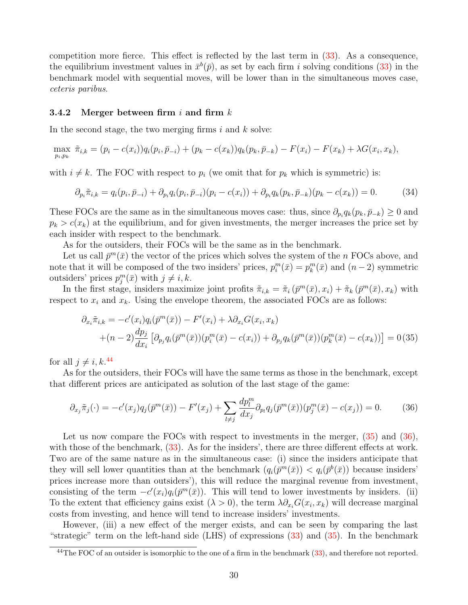competition more fierce. This effect is reflected by the last term in [\(33\)](#page-30-0). As a consequence, the equilibrium investment values in  $\bar{x}^b(\bar{p})$ , as set by each firm i solving conditions [\(33\)](#page-30-0) in the benchmark model with sequential moves, will be lower than in the simultaneous moves case, ceteris paribus.

#### 3.4.2 Merger between firm i and firm  $k$

In the second stage, the two merging firms  $i$  and  $k$  solve:

$$
\max_{p_i, p_k} \ \tilde{\pi}_{i,k} = (p_i - c(x_i))q_i(p_i, \bar{p}_{-i}) + (p_k - c(x_k))q_k(p_k, \bar{p}_{-k}) - F(x_i) - F(x_k) + \lambda G(x_i, x_k),
$$

with  $i \neq k$ . The FOC with respect to  $p_i$  (we omit that for  $p_k$  which is symmetric) is:

$$
\partial_{p_i}\tilde{\pi}_{i,k} = q_i(p_i, \bar{p}_{-i}) + \partial_{p_i}q_i(p_i, \bar{p}_{-i})(p_i - c(x_i)) + \partial_{p_i}q_k(p_k, \bar{p}_{-k})(p_k - c(x_k)) = 0.
$$
 (34)

These FOCs are the same as in the simultaneous moves case: thus, since  $\partial_{p_i} q_k(p_k, \bar{p}_{-k}) \geq 0$  and  $p_k > c(x_k)$  at the equilibrium, and for given investments, the merger increases the price set by each insider with respect to the benchmark.

As for the outsiders, their FOCs will be the same as in the benchmark.

Let us call  $\bar{p}^m(\bar{x})$  the vector of the prices which solves the system of the n FOCs above, and note that it will be composed of the two insiders' prices,  $p_i^m(\bar{x}) = p_k^m(\bar{x})$  and  $(n-2)$  symmetric outsiders' prices  $p_j^m(\bar{x})$  with  $j \neq i, k$ .

In the first stage, insiders maximize joint profits  $\tilde{\pi}_{i,k} = \tilde{\pi}_i (p^m(\bar{x}), x_i) + \tilde{\pi}_k (p^m(\bar{x}), x_k)$  with respect to  $x_i$  and  $x_k$ . Using the envelope theorem, the associated FOCs are as follows:

<span id="page-31-1"></span><span id="page-31-0"></span>
$$
\partial_{x_i} \tilde{\pi}_{i,k} = -c'(x_i) q_i(\bar{p}^m(\bar{x})) - F'(x_i) + \lambda \partial_{x_i} G(x_i, x_k)
$$
  
+
$$
(n-2) \frac{dp_j}{dx_i} [\partial_{p_j} q_i(\bar{p}^m(\bar{x})) (p_i^m(\bar{x}) - c(x_i)) + \partial_{p_j} q_k(\bar{p}^m(\bar{x})) (p_k^m(\bar{x}) - c(x_k))] = 0 (35)
$$

for all  $j \neq i, k$ .<sup>[44](#page-1-0)</sup>

As for the outsiders, their FOCs will have the same terms as those in the benchmark, except that different prices are anticipated as solution of the last stage of the game:

$$
\partial_{x_j} \tilde{\pi}_j(\cdot) = -c'(x_j) q_j(\bar{p}^m(\bar{x})) - F'(x_j) + \sum_{l \neq j} \frac{dp_l^m}{dx_j} \partial_{p_l} q_j(\bar{p}^m(\bar{x})) (p_j^m(\bar{x}) - c(x_j)) = 0. \tag{36}
$$

Let us now compare the FOCs with respect to investments in the merger,  $(35)$  and  $(36)$ , with those of the benchmark,  $(33)$ . As for the insiders', there are three different effects at work. Two are of the same nature as in the simultaneous case: (i) since the insiders anticipate that they will sell lower quantities than at the benchmark  $(q_i(\bar{p}^m(\bar{x})) < q_i(\bar{p}^b(\bar{x}))$  because insiders' prices increase more than outsiders'), this will reduce the marginal revenue from investment, consisting of the term  $-c'(x_i)q_i(\bar{p}^m(\bar{x}))$ . This will tend to lower investments by insiders. (ii) To the extent that efficiency gains exist  $(\lambda > 0)$ , the term  $\lambda \partial_{x_i} G(x_i, x_k)$  will decrease marginal costs from investing, and hence will tend to increase insiders' investments.

However, (iii) a new effect of the merger exists, and can be seen by comparing the last "strategic" term on the left-hand side (LHS) of expressions [\(33\)](#page-30-0) and [\(35\)](#page-31-0). In the benchmark

 $\frac{44 \text{The FOC of an outside is isomorphic to the one of a firm in the benchmark (33), and therefore not reported.}$  $\frac{44 \text{The FOC of an outside is isomorphic to the one of a firm in the benchmark (33), and therefore not reported.}$  $\frac{44 \text{The FOC of an outside is isomorphic to the one of a firm in the benchmark (33), and therefore not reported.}$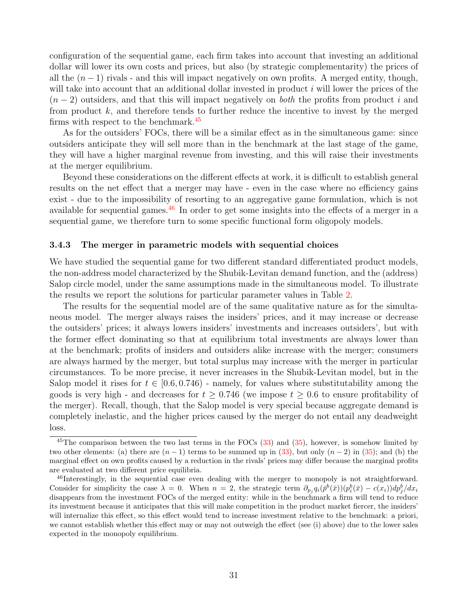configuration of the sequential game, each firm takes into account that investing an additional dollar will lower its own costs and prices, but also (by strategic complementarity) the prices of all the  $(n-1)$  rivals - and this will impact negatively on own profits. A merged entity, though, will take into account that an additional dollar invested in product  $i$  will lower the prices of the  $(n-2)$  outsiders, and that this will impact negatively on *both* the profits from product i and from product  $k$ , and therefore tends to further reduce the incentive to invest by the merged firms with respect to the benchmark.<sup>[45](#page-1-0)</sup>

As for the outsiders' FOCs, there will be a similar effect as in the simultaneous game: since outsiders anticipate they will sell more than in the benchmark at the last stage of the game, they will have a higher marginal revenue from investing, and this will raise their investments at the merger equilibrium.

Beyond these considerations on the different effects at work, it is difficult to establish general results on the net effect that a merger may have - even in the case where no efficiency gains exist - due to the impossibility of resorting to an aggregative game formulation, which is not available for sequential games.<sup>[46](#page-1-0)</sup> In order to get some insights into the effects of a merger in a sequential game, we therefore turn to some specific functional form oligopoly models.

#### 3.4.3 The merger in parametric models with sequential choices

We have studied the sequential game for two different standard differentiated product models, the non-address model characterized by the Shubik-Levitan demand function, and the (address) Salop circle model, under the same assumptions made in the simultaneous model. To illustrate the results we report the solutions for particular parameter values in Table [2.](#page-33-1)

The results for the sequential model are of the same qualitative nature as for the simultaneous model. The merger always raises the insiders' prices, and it may increase or decrease the outsiders' prices; it always lowers insiders' investments and increases outsiders', but with the former effect dominating so that at equilibrium total investments are always lower than at the benchmark; profits of insiders and outsiders alike increase with the merger; consumers are always harmed by the merger, but total surplus may increase with the merger in particular circumstances. To be more precise, it never increases in the Shubik-Levitan model, but in the Salop model it rises for  $t \in [0.6, 0.746)$  - namely, for values where substitutability among the goods is very high - and decreases for  $t \geq 0.746$  (we impose  $t \geq 0.6$  to ensure profitability of the merger). Recall, though, that the Salop model is very special because aggregate demand is completely inelastic, and the higher prices caused by the merger do not entail any deadweight loss.

 $^{45}$ The comparison between the two last terms in the FOCs  $(33)$  and  $(35)$ , however, is somehow limited by two other elements: (a) there are  $(n-1)$  terms to be summed up in [\(33\)](#page-30-0), but only  $(n-2)$  in [\(35\)](#page-31-0); and (b) the marginal effect on own profits caused by a reduction in the rivals' prices may differ because the marginal profits are evaluated at two different price equilibria.

<sup>46</sup>Interestingly, in the sequential case even dealing with the merger to monopoly is not straightforward. Consider for simplicity the case  $\lambda = 0$ . When  $n = 2$ , the strategic term  $\partial_{p_j} q_i(\bar{p}^b(\bar{x})) (p_i^b(\bar{x}) - c(x_i)) dp_j^b / dx_i$ disappears from the investment FOCs of the merged entity: while in the benchmark a firm will tend to reduce its investment because it anticipates that this will make competition in the product market fiercer, the insiders' will internalize this effect, so this effect would tend to increase investment relative to the benchmark: a priori, we cannot establish whether this effect may or may not outweigh the effect (see (i) above) due to the lower sales expected in the monopoly equilibrium.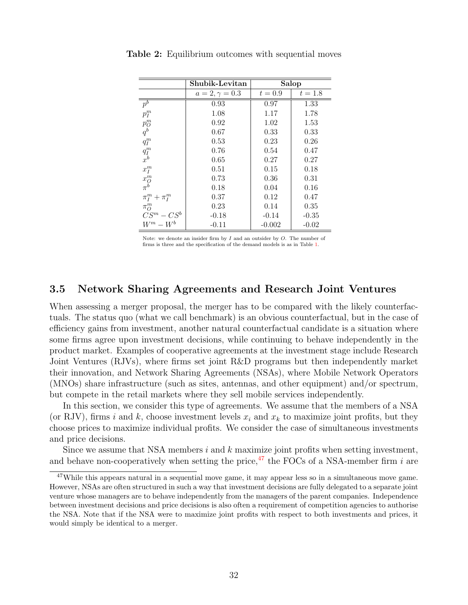|                                                       | Shubik-Levitan        | Salop     |           |  |
|-------------------------------------------------------|-----------------------|-----------|-----------|--|
|                                                       | $a = 2, \gamma = 0.3$ | $t = 0.9$ | $t = 1.8$ |  |
| $\bar{p}^{\overline{b}}$                              | 0.93                  | 0.97      | 1.33      |  |
| $p_l^m$                                               | 1.08                  | 1.17      | 1.78      |  |
| $p_{\cal O}^m$                                        | 0.92                  | 1.02      | 1.53      |  |
| $q^{b}$                                               | 0.67                  | 0.33      | 0.33      |  |
| $q_I^m$                                               | 0.53                  | 0.23      | 0.26      |  |
| $q_I^m$                                               | 0.76                  | 0.54      | 0.47      |  |
| $\vec{x}^b$                                           | 0.65                  | 0.27      | 0.27      |  |
| $x_I^m$                                               | 0.51                  | 0.15      | 0.18      |  |
| $\begin{array}{c} x_{{\cal O}}^m\\ \pi^b \end{array}$ | 0.73                  | 0.36      | 0.31      |  |
|                                                       | 0.18                  | 0.04      | 0.16      |  |
| $\pi_I^m + \pi_I^m$                                   | 0.37                  | 0.12      | 0.47      |  |
| $\pi_O^m$                                             | 0.23                  | 0.14      | 0.35      |  |
| $CS^m - CS^b$                                         | $-0.18$               | $-0.14$   | $-0.35$   |  |
| $W^m - W^b$                                           | $-0.11$               | $-0.002$  | $-0.02$   |  |

<span id="page-33-1"></span>Table 2: Equilibrium outcomes with sequential moves

Note: we denote an insider firm by  $I$  and an outsider by  $O$ . The number of firms is three and the specification of the demand models is as in Table [1.](#page-24-0)

#### <span id="page-33-0"></span>3.5 Network Sharing Agreements and Research Joint Ventures

When assessing a merger proposal, the merger has to be compared with the likely counterfactuals. The status quo (what we call benchmark) is an obvious counterfactual, but in the case of efficiency gains from investment, another natural counterfactual candidate is a situation where some firms agree upon investment decisions, while continuing to behave independently in the product market. Examples of cooperative agreements at the investment stage include Research Joint Ventures (RJVs), where firms set joint R&D programs but then independently market their innovation, and Network Sharing Agreements (NSAs), where Mobile Network Operators (MNOs) share infrastructure (such as sites, antennas, and other equipment) and/or spectrum, but compete in the retail markets where they sell mobile services independently.

In this section, we consider this type of agreements. We assume that the members of a NSA (or RJV), firms i and k, choose investment levels  $x_i$  and  $x_k$  to maximize joint profits, but they choose prices to maximize individual profits. We consider the case of simultaneous investments and price decisions.

Since we assume that NSA members  $i$  and  $k$  maximize joint profits when setting investment, and behave non-cooperatively when setting the price,  $47$  the FOCs of a NSA-member firm i are

 $47$ While this appears natural in a sequential move game, it may appear less so in a simultaneous move game. However, NSAs are often structured in such a way that investment decisions are fully delegated to a separate joint venture whose managers are to behave independently from the managers of the parent companies. Independence between investment decisions and price decisions is also often a requirement of competition agencies to authorise the NSA. Note that if the NSA were to maximize joint profits with respect to both investments and prices, it would simply be identical to a merger.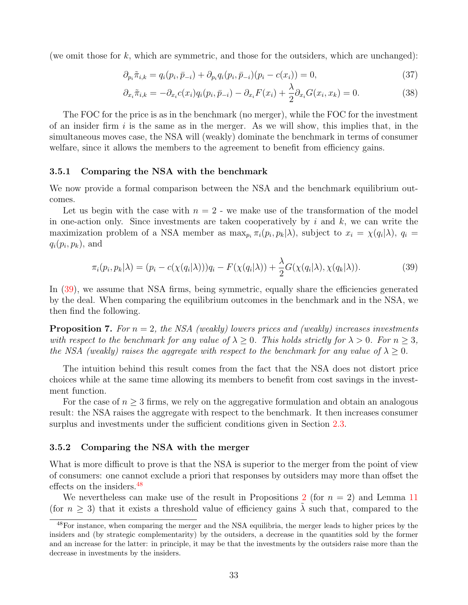(we omit those for  $k$ , which are symmetric, and those for the outsiders, which are unchanged):

$$
\partial_{p_i} \tilde{\pi}_{i,k} = q_i(p_i, \bar{p}_{-i}) + \partial_{p_i} q_i(p_i, \bar{p}_{-i})(p_i - c(x_i)) = 0,
$$
\n(37)

$$
\partial_{x_i}\tilde{\pi}_{i,k} = -\partial_{x_i}c(x_i)q_i(p_i,\bar{p}_{-i}) - \partial_{x_i}F(x_i) + \frac{\lambda}{2}\partial_{x_i}G(x_i,x_k) = 0.
$$
\n(38)

The FOC for the price is as in the benchmark (no merger), while the FOC for the investment of an insider firm  $i$  is the same as in the merger. As we will show, this implies that, in the simultaneous moves case, the NSA will (weakly) dominate the benchmark in terms of consumer welfare, since it allows the members to the agreement to benefit from efficiency gains.

#### 3.5.1 Comparing the NSA with the benchmark

We now provide a formal comparison between the NSA and the benchmark equilibrium outcomes.

Let us begin with the case with  $n = 2$  - we make use of the transformation of the model in one-action only. Since investments are taken cooperatively by  $i$  and  $k$ , we can write the maximization problem of a NSA member as  $\max_{p_i} \pi_i(p_i, p_k|\lambda)$ , subject to  $x_i = \chi(q_i|\lambda)$ ,  $q_i =$  $q_i(p_i, p_k)$ , and

<span id="page-34-0"></span>
$$
\pi_i(p_i, p_k|\lambda) = (p_i - c(\chi(q_i|\lambda)))q_i - F(\chi(q_i|\lambda)) + \frac{\lambda}{2}G(\chi(q_i|\lambda), \chi(q_k|\lambda)).
$$
\n(39)

In [\(39\)](#page-34-0), we assume that NSA firms, being symmetric, equally share the efficiencies generated by the deal. When comparing the equilibrium outcomes in the benchmark and in the NSA, we then find the following.

<span id="page-34-1"></span>**Proposition 7.** For  $n = 2$ , the NSA (weakly) lowers prices and (weakly) increases investments with respect to the benchmark for any value of  $\lambda > 0$ . This holds strictly for  $\lambda > 0$ . For  $n > 3$ , the NSA (weakly) raises the aggregate with respect to the benchmark for any value of  $\lambda \geq 0$ .

The intuition behind this result comes from the fact that the NSA does not distort price choices while at the same time allowing its members to benefit from cost savings in the investment function.

For the case of  $n \geq 3$  firms, we rely on the aggregative formulation and obtain an analogous result: the NSA raises the aggregate with respect to the benchmark. It then increases consumer surplus and investments under the sufficient conditions given in Section [2.3.](#page-13-0)

#### 3.5.2 Comparing the NSA with the merger

What is more difficult to prove is that the NSA is superior to the merger from the point of view of consumers: one cannot exclude a priori that responses by outsiders may more than offset the effects on the insiders.<sup>[48](#page-1-0)</sup>

We nevertheless can make use of the result in Propositions [2](#page-12-1) (for  $n = 2$ ) and Lemma [11](#page-19-3) (for  $n \geq 3$ ) that it exists a threshold value of efficiency gains  $\lambda$  such that, compared to the

<sup>&</sup>lt;sup>48</sup>For instance, when comparing the merger and the NSA equilibria, the merger leads to higher prices by the insiders and (by strategic complementarity) by the outsiders, a decrease in the quantities sold by the former and an increase for the latter: in principle, it may be that the investments by the outsiders raise more than the decrease in investments by the insiders.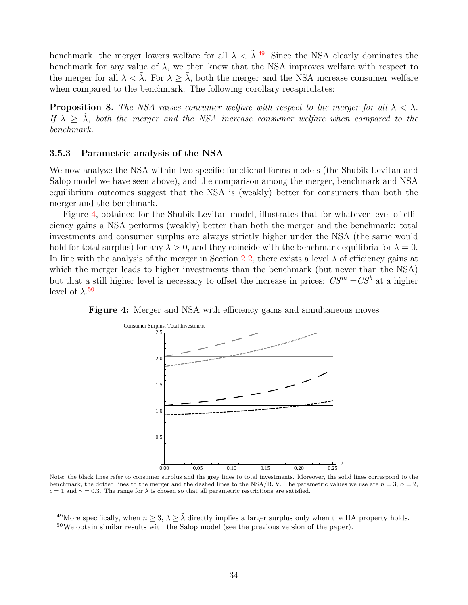benchmark, the merger lowers welfare for all  $\lambda < \tilde{\lambda}$ .<sup>[49](#page-1-0)</sup> Since the NSA clearly dominates the benchmark for any value of  $\lambda$ , we then know that the NSA improves welfare with respect to the merger for all  $\lambda < \lambda$ . For  $\lambda \geq \lambda$ , both the merger and the NSA increase consumer welfare when compared to the benchmark. The following corollary recapitulates:

**Proposition 8.** The NSA raises consumer welfare with respect to the merger for all  $\lambda < \lambda$ . If  $\lambda > \lambda$ , both the merger and the NSA increase consumer welfare when compared to the benchmark.

#### 3.5.3 Parametric analysis of the NSA

We now analyze the NSA within two specific functional forms models (the Shubik-Levitan and Salop model we have seen above), and the comparison among the merger, benchmark and NSA equilibrium outcomes suggest that the NSA is (weakly) better for consumers than both the merger and the benchmark.

Figure [4,](#page-35-0) obtained for the Shubik-Levitan model, illustrates that for whatever level of efficiency gains a NSA performs (weakly) better than both the merger and the benchmark: total investments and consumer surplus are always strictly higher under the NSA (the same would hold for total surplus) for any  $\lambda > 0$ , and they coincide with the benchmark equilibria for  $\lambda = 0$ . In line with the analysis of the merger in Section [2.2,](#page-11-0) there exists a level  $\lambda$  of efficiency gains at which the merger leads to higher investments than the benchmark (but never than the NSA) but that a still higher level is necessary to offset the increase in prices:  $CS^m = CS^b$  at a higher level of  $\lambda$ <sup>[50](#page-1-0)</sup>



<span id="page-35-0"></span>Figure 4: Merger and NSA with efficiency gains and simultaneous moves

Note: the black lines refer to consumer surplus and the grey lines to total investments. Moreover, the solid lines correspond to the benchmark, the dotted lines to the merger and the dashed lines to the NSA/RJV. The parametric values we use are  $n = 3$ ,  $\alpha = 2$ ,  $c = 1$  and  $\gamma = 0.3$ . The range for  $\lambda$  is chosen so that all parametric restrictions are satisfied.

<sup>&</sup>lt;sup>49</sup>More specifically, when  $n > 3$ ,  $\lambda > \tilde{\lambda}$  directly implies a larger surplus only when the IIA property holds.

<sup>&</sup>lt;sup>50</sup>We obtain similar results with the Salop model (see the previous version of the paper).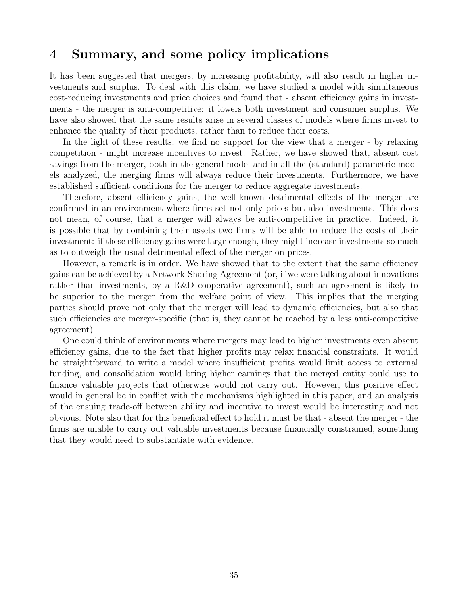## <span id="page-36-0"></span>4 Summary, and some policy implications

It has been suggested that mergers, by increasing profitability, will also result in higher investments and surplus. To deal with this claim, we have studied a model with simultaneous cost-reducing investments and price choices and found that - absent efficiency gains in investments - the merger is anti-competitive: it lowers both investment and consumer surplus. We have also showed that the same results arise in several classes of models where firms invest to enhance the quality of their products, rather than to reduce their costs.

In the light of these results, we find no support for the view that a merger - by relaxing competition - might increase incentives to invest. Rather, we have showed that, absent cost savings from the merger, both in the general model and in all the (standard) parametric models analyzed, the merging firms will always reduce their investments. Furthermore, we have established sufficient conditions for the merger to reduce aggregate investments.

Therefore, absent efficiency gains, the well-known detrimental effects of the merger are confirmed in an environment where firms set not only prices but also investments. This does not mean, of course, that a merger will always be anti-competitive in practice. Indeed, it is possible that by combining their assets two firms will be able to reduce the costs of their investment: if these efficiency gains were large enough, they might increase investments so much as to outweigh the usual detrimental effect of the merger on prices.

However, a remark is in order. We have showed that to the extent that the same efficiency gains can be achieved by a Network-Sharing Agreement (or, if we were talking about innovations rather than investments, by a R&D cooperative agreement), such an agreement is likely to be superior to the merger from the welfare point of view. This implies that the merging parties should prove not only that the merger will lead to dynamic efficiencies, but also that such efficiencies are merger-specific (that is, they cannot be reached by a less anti-competitive agreement).

One could think of environments where mergers may lead to higher investments even absent efficiency gains, due to the fact that higher profits may relax financial constraints. It would be straightforward to write a model where insufficient profits would limit access to external funding, and consolidation would bring higher earnings that the merged entity could use to finance valuable projects that otherwise would not carry out. However, this positive effect would in general be in conflict with the mechanisms highlighted in this paper, and an analysis of the ensuing trade-off between ability and incentive to invest would be interesting and not obvious. Note also that for this beneficial effect to hold it must be that - absent the merger - the firms are unable to carry out valuable investments because financially constrained, something that they would need to substantiate with evidence.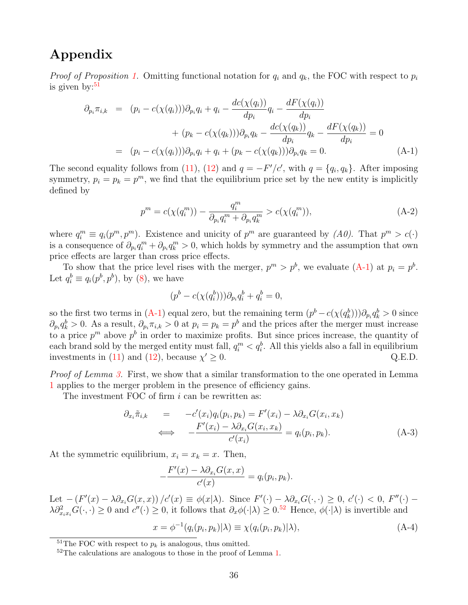## Appendix

*Proof of Proposition [1.](#page-11-1)* Omitting functional notation for  $q_i$  and  $q_k$ , the FOC with respect to  $p_i$ is given by: $51$ 

<span id="page-37-0"></span>
$$
\partial_{p_i} \pi_{i,k} = (p_i - c(\chi(q_i))) \partial_{p_i} q_i + q_i - \frac{dc(\chi(q_i))}{dp_i} q_i - \frac{dF(\chi(q_i))}{dp_i} \n+ (p_k - c(\chi(q_k))) \partial_{p_i} q_k - \frac{dc(\chi(q_k))}{dp_i} q_k - \frac{dF(\chi(q_k))}{dp_i} = 0 \n= (p_i - c(\chi(q_i))) \partial_{p_i} q_i + q_i + (p_k - c(\chi(q_k))) \partial_{p_i} q_k = 0.
$$
\n(A-1)

The second equality follows from [\(11\)](#page-11-2), [\(12\)](#page-11-2) and  $q = -F'/c'$ , with  $q = \{q_i, q_k\}$ . After imposing symmetry,  $p_i = p_k = p^m$ , we find that the equilibrium price set by the new entity is implicitly defined by

$$
p^{m} = c(\chi(q_i^{m})) - \frac{q_i^{m}}{\partial_{p_i} q_i^{m} + \partial_{p_i} q_k^{m}} > c(\chi(q_i^{m})),
$$
\n(A-2)

where  $q_i^m \equiv q_i(p^m, p^m)$ . Existence and unicity of  $p^m$  are guaranteed by  $(A0)$ . That  $p^m > c(\cdot)$ is a consequence of  $\partial_{p_i} q_i^m + \partial_{p_i} q_k^m > 0$ , which holds by symmetry and the assumption that own price effects are larger than cross price effects.

To show that the price level rises with the merger,  $p^m > p^b$ , we evaluate [\(A-1\)](#page-37-0) at  $p_i = p^b$ . Let  $q_i^b \equiv q_i(p^b, p^b)$ , by [\(8\)](#page-9-0), we have

$$
(pb - c(\chi(qbi)))\partial_{p_i}q_i^b + q_i^b = 0,
$$

so the first two terms in [\(A-1\)](#page-37-0) equal zero, but the remaining term  $(p^b - c(\chi(q_k^b)))\partial_{p_i}q_k^b > 0$  since  $\partial_{p_i} q_k^b > 0$ . As a result,  $\partial_{p_i} \pi_{i,k} > 0$  at  $p_i = p_k = p^b$  and the prices after the merger must increase to a price  $p^m$  above  $p^b$  in order to maximize profits. But since prices increase, the quantity of each brand sold by the merged entity must fall,  $q_i^m < q_i^b$ . All this yields also a fall in equilibrium investments in [\(11\)](#page-11-2) and [\(12\)](#page-11-2), because  $\chi' \geq 0$ .  $Q.E.D.$ 

Proof of Lemma [3.](#page-12-0) First, we show that a similar transformation to the one operated in Lemma [1](#page-8-0) applies to the merger problem in the presence of efficiency gains.

The investment FOC of firm i can be rewritten as:

<span id="page-37-1"></span>
$$
\partial_{x_i} \tilde{\pi}_{i,k} = -c'(x_i) q_i(p_i, p_k) = F'(x_i) - \lambda \partial_{x_i} G(x_i, x_k)
$$
\n
$$
\iff -\frac{F'(x_i) - \lambda \partial_{x_i} G(x_i, x_k)}{c'(x_i)} = q_i(p_i, p_k). \tag{A-3}
$$

At the symmetric equilibrium,  $x_i = x_k = x$ . Then,

$$
-\frac{F'(x) - \lambda \partial_{x_i} G(x, x)}{c'(x)} = q_i(p_i, p_k).
$$

Let  $-(F'(x) - \lambda \partial_{x_i} G(x, x))/c'(x) \equiv \phi(x|\lambda)$ . Since  $F'(\cdot) - \lambda \partial_{x_i} G(\cdot, \cdot) \geq 0$ ,  $c'(\cdot) < 0$ ,  $F''(\cdot) \lambda \partial_{x_ix_i}^2 G(\cdot,\cdot) \geq 0$  and  $c''(\cdot) \geq 0$ , it follows that  $\partial_x \phi(\cdot | \lambda) \geq 0.52$  $\partial_x \phi(\cdot | \lambda) \geq 0.52$  Hence,  $\phi(\cdot | \lambda)$  is invertible and

$$
x = \phi^{-1}(q_i(p_i, p_k)|\lambda) \equiv \chi(q_i(p_i, p_k)|\lambda), \tag{A-4}
$$

<sup>&</sup>lt;sup>51</sup>The FOC with respect to  $p_k$  is analogous, thus omitted.

<sup>&</sup>lt;sup>52</sup>The calculations are analogous to those in the proof of Lemma [1.](#page-8-0)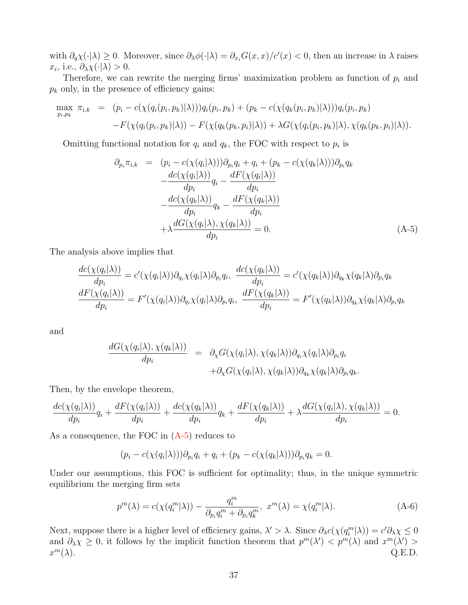with  $\partial_q \chi(\cdot | \lambda) \geq 0$ . Moreover, since  $\partial_{\lambda} \phi(\cdot | \lambda) = \partial_{x_i} G(x, x)/c'(x) < 0$ , then an increase in  $\lambda$  raises  $x_i$ , i.e.,  $\partial_{\lambda} \chi(\cdot | \lambda) > 0$ .

Therefore, we can rewrite the merging firms' maximization problem as function of  $p_i$  and  $p_k$  only, in the presence of efficiency gains:

$$
\max_{p_i, p_k} \pi_{i,k} = (p_i - c(\chi(q_i(p_i, p_k)|\lambda)))q_i(p_i, p_k) + (p_k - c(\chi(q_k(p_i, p_k)|\lambda)))q_i(p_i, p_k) - F(\chi(q_i(p_i, p_k)|\lambda)) - F(\chi(q_k(p_k, p_i)|\lambda)) + \lambda G(\chi(q_i(p_i, p_k)|\lambda), \chi(q_k(p_k, p_i)|\lambda)).
$$

Omitting functional notation for  $q_i$  and  $q_k$ , the FOC with respect to  $p_i$  is

<span id="page-38-0"></span>
$$
\partial_{p_i} \pi_{i,k} = (p_i - c(\chi(q_i|\lambda)))\partial_{p_i} q_i + q_i + (p_k - c(\chi(q_k|\lambda)))\partial_{p_i} q_k \n\quad - \frac{dc(\chi(q_i|\lambda))}{dp_i} q_i - \frac{dF(\chi(q_i|\lambda))}{dp_i} \n\quad - \frac{dc(\chi(q_k|\lambda))}{dp_i} q_k - \frac{dF(\chi(q_k|\lambda))}{dp_i} \n\quad + \lambda \frac{dG(\chi(q_i|\lambda), \chi(q_k|\lambda))}{dp_i} = 0.
$$
\n(A-5)

The analysis above implies that

$$
\frac{dc(\chi(q_i|\lambda))}{dp_i} = c'(\chi(q_i|\lambda))\partial_{q_i}\chi(q_i|\lambda)\partial_{p_i}q_i, \quad \frac{dc(\chi(q_k|\lambda))}{dp_i} = c'(\chi(q_k|\lambda))\partial_{q_k}\chi(q_k|\lambda)\partial_{p_i}q_k
$$
\n
$$
\frac{dF(\chi(q_i|\lambda))}{dp_i} = F'(\chi(q_i|\lambda))\partial_{q_i}\chi(q_i|\lambda)\partial_{p_i}q_i, \quad \frac{dF(\chi(q_k|\lambda))}{dp_i} = F'(\chi(q_k|\lambda))\partial_{q_k}\chi(q_k|\lambda)\partial_{p_i}q_k
$$

and

$$
\frac{dG(\chi(q_i|\lambda), \chi(q_k|\lambda))}{dp_i} = \partial_{\chi} G(\chi(q_i|\lambda), \chi(q_k|\lambda)) \partial_{q_i} \chi(q_i|\lambda) \partial_{p_i} q_i \n+ \partial_{\chi} G(\chi(q_i|\lambda), \chi(q_k|\lambda)) \partial_{q_k} \chi(q_k|\lambda) \partial_{p_i} q_k.
$$

Then, by the envelope theorem,

$$
\frac{dc(\chi(q_i|\lambda))}{dp_i}q_i + \frac{dF(\chi(q_i|\lambda))}{dp_i} + \frac{dc(\chi(q_k|\lambda))}{dp_i}q_k + \frac{dF(\chi(q_k|\lambda))}{dp_i} + \lambda \frac{dG(\chi(q_i|\lambda), \chi(q_k|\lambda))}{dp_i} = 0.
$$

As a consequence, the FOC in  $(A-5)$  reduces to

$$
(p_i - c(\chi(q_i|\lambda)))\partial_{p_i}q_i + q_i + (p_k - c(\chi(q_k|\lambda)))\partial_{p_i}q_k = 0.
$$

Under our assumptions, this FOC is sufficient for optimality; thus, in the unique symmetric equilibrium the merging firm sets

$$
p^{m}(\lambda) = c(\chi(q_i^m|\lambda)) - \frac{q_i^m}{\partial_{p_i}q_i^m + \partial_{p_i}q_k^m}, \ x^m(\lambda) = \chi(q_i^m|\lambda). \tag{A-6}
$$

Next, suppose there is a higher level of efficiency gains,  $\lambda' > \lambda$ . Since  $\partial_{\lambda} c(\chi(q_i^m|\lambda)) = c'\partial_{\lambda}\chi \leq 0$ and  $\partial_{\lambda}\chi \geq 0$ , it follows by the implicit function theorem that  $p^{m}(\lambda') < p^{m}(\lambda)$  and  $x^{m}(\lambda') >$  $x^m(\lambda)$ .  $m(\lambda)$ . Q.E.D.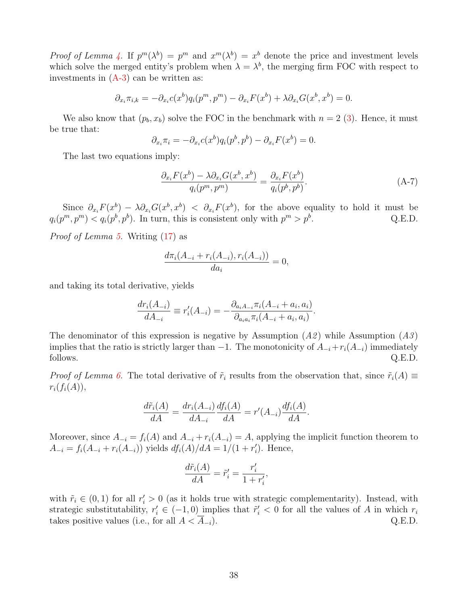Proof of Lemma [4.](#page-12-2) If  $p^m(\lambda^b) = p^m$  and  $x^m(\lambda^b) = x^b$  denote the price and investment levels which solve the merged entity's problem when  $\lambda = \lambda^b$ , the merging firm FOC with respect to investments in  $(A-3)$  can be written as:

$$
\partial_{x_i}\pi_{i,k} = -\partial_{x_i}c(x^b)q_i(p^m, p^m) - \partial_{x_i}F(x^b) + \lambda \partial_{x_i}G(x^b, x^b) = 0.
$$

We also know that  $(p_b, x_b)$  solve the FOC in the benchmark with  $n = 2$  [\(3\)](#page-8-1). Hence, it must be true that:

$$
\partial_{x_i}\pi_i = -\partial_{x_i}c(x^b)q_i(p^b, p^b) - \partial_{x_i}F(x^b) = 0.
$$

The last two equations imply:

$$
\frac{\partial_{x_i} F(x^b) - \lambda \partial_{x_i} G(x^b, x^b)}{q_i(p^m, p^m)} = \frac{\partial_{x_i} F(x^b)}{q_i(p^b, p^b)}.
$$
\n(A-7)

Since  $\partial_{x_i} F(x^b) - \lambda \partial_{x_i} G(x^b, x^b)$  <  $\partial_{x_i} F(x^b)$ , for the above equality to hold it must be  $q_i(p^m, p^m) < q_i(p^b, p^b)$ . In turn, this is consistent only with  $p^m > p^b$ . Q.E.D.

Proof of Lemma [5.](#page-15-1) Writing [\(17\)](#page-14-2) as

$$
\frac{d\pi_i(A_{-i} + r_i(A_{-i}), r_i(A_{-i}))}{da_i} = 0,
$$

and taking its total derivative, yields

$$
\frac{dr_i(A_{-i})}{dA_{-i}} \equiv r'_i(A_{-i}) = -\frac{\partial_{a_i A_{-i}} \pi_i(A_{-i} + a_i, a_i)}{\partial_{a_i a_i} \pi_i(A_{-i} + a_i, a_i)}.
$$

The denominator of this expression is negative by Assumption  $(A2)$  while Assumption  $(A3)$ implies that the ratio is strictly larger than  $-1$ . The monotonicity of  $A_{-i}+r_i(A_{-i})$  immediately follows.  $Q.E.D.$ 

*Proof of Lemma [6.](#page-15-0)* The total derivative of  $\tilde{r}_i$  results from the observation that, since  $\tilde{r}_i(A) \equiv$  $r_i(f_i(A)),$ 

$$
\frac{d\tilde{r}_i(A)}{dA} = \frac{dr_i(A_{-i})}{dA_{-i}} \frac{df_i(A)}{dA} = r'(A_{-i}) \frac{df_i(A)}{dA}.
$$

Moreover, since  $A_{-i} = f_i(A)$  and  $A_{-i} + r_i(A_{-i}) = A$ , applying the implicit function theorem to  $A_{-i} = f_i(A_{-i} + r_i(A_{-i}))$  yields  $df_i(A)/dA = 1/(1 + r'_i)$ . Hence,

$$
\frac{d\tilde{r}_i(A)}{dA} = \tilde{r}'_i = \frac{r'_i}{1 + r'_i},
$$

with  $\tilde{r}_i \in (0,1)$  for all  $r'_i > 0$  (as it holds true with strategic complementarity). Instead, with strategic substitutability,  $r'_i \in (-1,0)$  implies that  $\tilde{r}'_i < 0$  for all the values of A in which  $r_i$ takes positive values (i.e., for all  $A < \overline{A}_{-i}$ ). Q.E.D.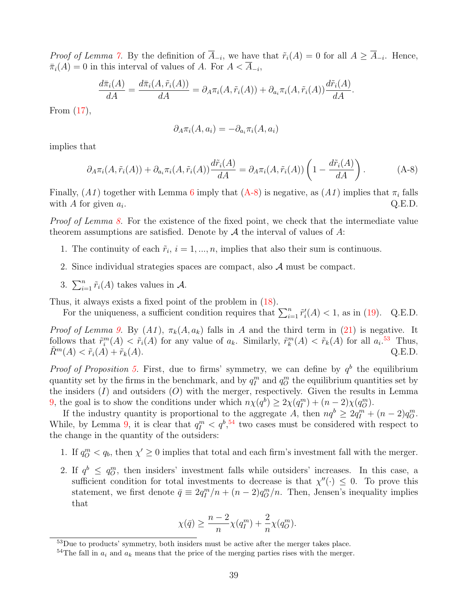*Proof of Lemma [7.](#page-16-3)* By the definition of  $A_{-i}$ , we have that  $\tilde{r}_i(A) = 0$  for all  $A \geq A_{-i}$ . Hence,  $\bar{\pi}_i(A) = 0$  in this interval of values of A. For  $A < A_{-i}$ ,

$$
\frac{d\bar{\pi}_i(A)}{dA} = \frac{d\bar{\pi}_i(A, \tilde{r}_i(A))}{dA} = \partial_A \pi_i(A, \tilde{r}_i(A)) + \partial_{a_i} \pi_i(A, \tilde{r}_i(A)) \frac{d\tilde{r}_i(A)}{dA}.
$$

From [\(17\)](#page-14-2),

$$
\partial_A \pi_i(A, a_i) = -\partial_{a_i} \pi_i(A, a_i)
$$

implies that

<span id="page-40-0"></span>
$$
\partial_A \pi_i(A, \tilde{r}_i(A)) + \partial_{a_i} \pi_i(A, \tilde{r}_i(A)) \frac{d \tilde{r}_i(A)}{dA} = \partial_A \pi_i(A, \tilde{r}_i(A)) \left(1 - \frac{d \tilde{r}_i(A)}{dA}\right).
$$
 (A-8)

Finally,  $(A1)$  together with Lemma [6](#page-15-0) imply that  $(A-8)$  is negative, as  $(A1)$  implies that  $\pi_i$  falls with A for given  $a_i$ . .  $Q.E.D.$ 

Proof of Lemma [8.](#page-16-2) For the existence of the fixed point, we check that the intermediate value theorem assumptions are satisfied. Denote by  $A$  the interval of values of  $A$ :

- 1. The continuity of each  $\tilde{r}_i$ ,  $i = 1, ..., n$ , implies that also their sum is continuous.
- 2. Since individual strategies spaces are compact, also  $A$  must be compact.
- 3.  $\sum_{i=1}^{n} \tilde{r}_i(A)$  takes values in A.

Thus, it always exists a fixed point of the problem in [\(18\)](#page-16-4).

For the uniqueness, a sufficient condition requires that  $\sum_{i=1}^{n} \tilde{r}'_i(A) < 1$ , as in [\(19\)](#page-16-0). Q.E.D.

*Proof of Lemma [9.](#page-17-0)* By  $(A1)$ ,  $\pi_k(A, a_k)$  falls in A and the third term in [\(21\)](#page-16-1) is negative. It follows that  $\tilde{r}_i^m(A) < \tilde{r}_i(A)$  for any value of  $a_k$ . Similarly,  $\tilde{r}_k^m(A) < \tilde{r}_k(A)$  for all  $a_i$ .<sup>[53](#page-1-0)</sup> Thus,  $\widetilde{R}^m(A) < \widetilde{r}_i(A) + \widetilde{r}_k(A).$  Q.E.D.

*Proof of Proposition [5.](#page-18-2)* First, due to firms' symmetry, we can define by  $q<sup>b</sup>$  the equilibrium quantity set by the firms in the benchmark, and by  $q_l^m$  and  $q_O^m$  the equilibrium quantities set by the insiders  $(I)$  and outsiders  $(O)$  with the merger, respectively. Given the results in Lemma [9,](#page-17-0) the goal is to show the conditions under which  $n\chi(q^b) \ge 2\chi(q^m) + (n-2)\chi(q^m)$ .

If the industry quantity is proportional to the aggregate A, then  $nq^b \geq 2q_l^m + (n-2)q_l^m$ . While, by Lemma [9,](#page-17-0) it is clear that  $q_l^m < q_l^{b}$ ,<sup>[54](#page-1-0)</sup> two cases must be considered with respect to the change in the quantity of the outsiders:

- 1. If  $q_0^m < q_b$ , then  $\chi' \geq 0$  implies that total and each firm's investment fall with the merger.
- 2. If  $q^b \le q^m$ , then insiders' investment falls while outsiders' increases. In this case, a sufficient condition for total investments to decrease is that  $\chi''(\cdot) \leq 0$ . To prove this statement, we first denote  $\bar{q} \equiv 2q_l^m/n + (n-2)q_O^m/n$ . Then, Jensen's inequality implies that

$$
\chi(\bar{q}) \ge \frac{n-2}{n}\chi(q_l^m) + \frac{2}{n}\chi(q_O^m).
$$

<sup>&</sup>lt;sup>53</sup>Due to products' symmetry, both insiders must be active after the merger takes place.

<sup>&</sup>lt;sup>54</sup>The fall in  $a_i$  and  $a_k$  means that the price of the merging parties rises with the merger.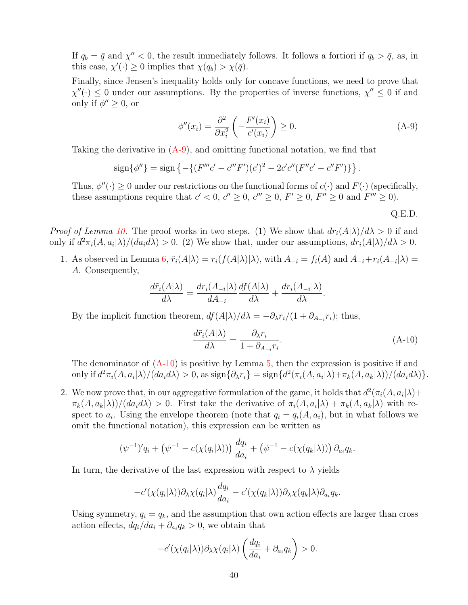If  $q_b = \bar{q}$  and  $\chi'' < 0$ , the result immediately follows. It follows a fortiori if  $q_b > \bar{q}$ , as, in this case,  $\chi'(\cdot) \geq 0$  implies that  $\chi(q_b) > \chi(\bar{q})$ .

Finally, since Jensen's inequality holds only for concave functions, we need to prove that  $\chi''(.) \leq 0$  under our assumptions. By the properties of inverse functions,  $\chi'' \leq 0$  if and only if  $\phi'' \geq 0$ , or

<span id="page-41-0"></span>
$$
\phi''(x_i) = \frac{\partial^2}{\partial x_i^2} \left( -\frac{F'(x_i)}{c'(x_i)} \right) \ge 0.
$$
\n(A-9)

Taking the derivative in  $(A-9)$ , and omitting functional notation, we find that

$$
\operatorname{sign}\{\phi''\} = \operatorname{sign}\left\{ -\{ (F'''c' - c'''F')(c')^2 - 2c'c''(F''c' - c''F') \} \right\}.
$$

Thus,  $\phi''(\cdot) \geq 0$  under our restrictions on the functional forms of  $c(\cdot)$  and  $F(\cdot)$  (specifically, these assumptions require that  $c' < 0$ ,  $c'' \ge 0$ ,  $c''' \ge 0$ ,  $F' \ge 0$ ,  $F'' \ge 0$  and  $F''' \ge 0$ ).

Q.E.D.

*Proof of Lemma [10.](#page-19-1)* The proof works in two steps. (1) We show that  $dr_i(A|\lambda)/d\lambda > 0$  if and only if  $d^2\pi_i(A, a_i|\lambda)/(da_i d\lambda) > 0$ . (2) We show that, under our assumptions,  $dr_i(A|\lambda)/d\lambda > 0$ .

1. As observed in Lemma [6,](#page-15-0)  $\tilde{r}_i(A|\lambda) = r_i(f(A|\lambda)|\lambda)$ , with  $A_{-i} = f_i(A)$  and  $A_{-i} + r_i(A_{-i}|\lambda) =$ A. Consequently,

$$
\frac{d\tilde{r}_i(A|\lambda)}{d\lambda} = \frac{dr_i(A_{-i}|\lambda)}{dA_{-i}} \frac{df(A|\lambda)}{d\lambda} + \frac{dr_i(A_{-i}|\lambda)}{d\lambda}.
$$

By the implicit function theorem,  $df(A|\lambda)/d\lambda = -\partial_{\lambda}r_i/(1+\partial_{A_{-i}}r_i)$ ; thus,

<span id="page-41-1"></span>
$$
\frac{d\tilde{r}_i(A|\lambda)}{d\lambda} = \frac{\partial_\lambda r_i}{1 + \partial_{A_{-i}} r_i}.
$$
\n(A-10)

The denominator of  $(A-10)$  is positive by Lemma [5,](#page-15-1) then the expression is positive if and only if  $d^2\pi_i(A, a_i|\lambda)/(da_i d\lambda) > 0$ , as  $\text{sign}\{\partial_\lambda r_i\} = \text{sign}\{d^2(\pi_i(A, a_i|\lambda)+\pi_k(A, a_k|\lambda))/(da_i d\lambda)\}.$ 

2. We now prove that, in our aggregative formulation of the game, it holds that  $d^2(\pi_i(A, a_i | \lambda) +$  $\pi_k(A, a_k|\lambda)$ / $(da_i d\lambda) > 0$ . First take the derivative of  $\pi_i(A, a_i|\lambda) + \pi_k(A, a_k|\lambda)$  with respect to  $a_i$ . Using the envelope theorem (note that  $q_i = q_i(A, a_i)$ , but in what follows we omit the functional notation), this expression can be written as

$$
(\psi^{-1})'q_i + (\psi^{-1} - c(\chi(q_i|\lambda))) \frac{dq_i}{da_i} + (\psi^{-1} - c(\chi(q_k|\lambda))) \partial_{a_i}q_k.
$$

In turn, the derivative of the last expression with respect to  $\lambda$  yields

$$
-c'(\chi(q_i|\lambda))\partial_{\lambda}\chi(q_i|\lambda)\frac{dq_i}{da_i}-c'(\chi(q_k|\lambda))\partial_{\lambda}\chi(q_k|\lambda)\partial_{a_i}q_k.
$$

Using symmetry,  $q_i = q_k$ , and the assumption that own action effects are larger than cross action effects,  $dq_i/da_i + \partial_{a_i}q_k > 0$ , we obtain that

$$
-c'(\chi(q_i|\lambda))\partial_{\lambda}\chi(q_i|\lambda)\left(\frac{dq_i}{da_i}+\partial_{a_i}q_k\right)>0.
$$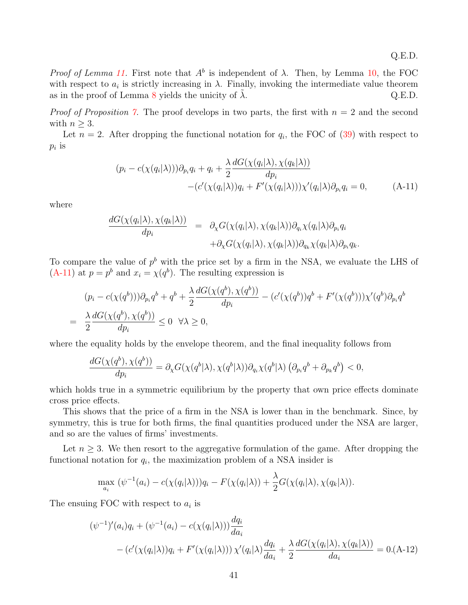Proof of Lemma [11.](#page-19-3) First note that  $A^b$  is independent of  $\lambda$ . Then, by Lemma [10,](#page-19-1) the FOC with respect to  $a_i$  is strictly increasing in  $\lambda$ . Finally, invoking the intermediate value theorem as in the proof of Lemma [8](#page-16-2) yields the unicity of  $\lambda$ . Q.E.D.

*Proof of Proposition [7.](#page-34-1)* The proof develops in two parts, the first with  $n = 2$  and the second with  $n \geq 3$ .

Let  $n = 2$ . After dropping the functional notation for  $q_i$ , the FOC of [\(39\)](#page-34-0) with respect to  $p_i$  is

<span id="page-42-0"></span>
$$
(p_i - c(\chi(q_i|\lambda)))\partial_{p_i}q_i + q_i + \frac{\lambda}{2}\frac{dG(\chi(q_i|\lambda), \chi(q_k|\lambda))}{dp_i}
$$

$$
-(c'(\chi(q_i|\lambda))q_i + F'(\chi(q_i|\lambda)))\chi'(q_i|\lambda)\partial_{p_i}q_i = 0,
$$
(A-11)

where

$$
\frac{dG(\chi(q_i|\lambda), \chi(q_k|\lambda))}{dp_i} = \partial_{\chi}G(\chi(q_i|\lambda), \chi(q_k|\lambda))\partial_{q_i}\chi(q_i|\lambda)\partial_{p_i}q_i \n+ \partial_{\chi}G(\chi(q_i|\lambda), \chi(q_k|\lambda))\partial_{q_k}\chi(q_k|\lambda)\partial_{p_i}q_k.
$$

To compare the value of  $p<sup>b</sup>$  with the price set by a firm in the NSA, we evaluate the LHS of  $(A-11)$  at  $p = p^b$  and  $x_i = \chi(q^b)$ . The resulting expression is

$$
(p_i - c(\chi(q^b)))\partial_{p_i}q^b + q^b + \frac{\lambda}{2}\frac{dG(\chi(q^b), \chi(q^b))}{dp_i} - (c'(\chi(q^b))q^b + F'(\chi(q^b)))\chi'(q^b)\partial_{p_i}q^b
$$
  
= 
$$
\frac{\lambda}{2}\frac{dG(\chi(q^b), \chi(q^b))}{dp_i} \le 0 \quad \forall \lambda \ge 0,
$$

where the equality holds by the envelope theorem, and the final inequality follows from

$$
\frac{dG(\chi(q^b), \chi(q^b))}{dp_i} = \partial_{\chi}G(\chi(q^b|\lambda), \chi(q^b|\lambda))\partial_{q_i}\chi(q^b|\lambda)\left(\partial_{p_i}q^b + \partial_{p_k}q^b\right) < 0,
$$

which holds true in a symmetric equilibrium by the property that own price effects dominate cross price effects.

This shows that the price of a firm in the NSA is lower than in the benchmark. Since, by symmetry, this is true for both firms, the final quantities produced under the NSA are larger, and so are the values of firms' investments.

Let  $n \geq 3$ . We then resort to the aggregative formulation of the game. After dropping the functional notation for  $q_i$ , the maximization problem of a NSA insider is

$$
\max_{a_i} (\psi^{-1}(a_i) - c(\chi(q_i|\lambda)))q_i - F(\chi(q_i|\lambda)) + \frac{\lambda}{2}G(\chi(q_i|\lambda), \chi(q_k|\lambda)).
$$

The ensuing FOC with respect to  $a_i$  is

<span id="page-42-1"></span>
$$
(\psi^{-1})'(a_i)q_i + (\psi^{-1}(a_i) - c(\chi(q_i|\lambda)))\frac{dq_i}{da_i}
$$
  
 
$$
- (c'(\chi(q_i|\lambda))q_i + F'(\chi(q_i|\lambda)))\chi'(q_i|\lambda)\frac{dq_i}{da_i} + \frac{\lambda}{2}\frac{dG(\chi(q_i|\lambda), \chi(q_k|\lambda))}{da_i} = 0.(A-12)
$$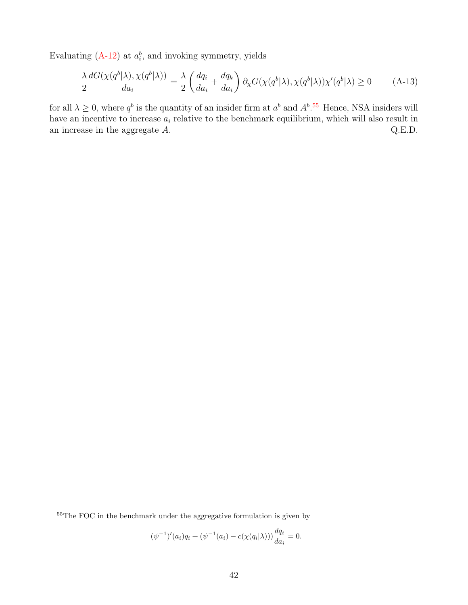Evaluating  $(A-12)$  at  $a_i^b$ , and invoking symmetry, yields

$$
\frac{\lambda}{2} \frac{dG(\chi(q^b|\lambda), \chi(q^b|\lambda))}{da_i} = \frac{\lambda}{2} \left( \frac{dq_i}{da_i} + \frac{dq_k}{da_i} \right) \partial_{\chi} G(\chi(q^b|\lambda), \chi(q^b|\lambda)) \chi'(q^b|\lambda) \ge 0 \tag{A-13}
$$

for all  $\lambda \geq 0$ , where  $q^b$  is the quantity of an insider firm at  $a^b$  and  $A^b$ .<sup>[55](#page-1-0)</sup> Hence, NSA insiders will have an incentive to increase  $a_i$  relative to the benchmark equilibrium, which will also result in an increase in the aggregate  $A$ .  $Q.E.D.$ 

$$
(\psi^{-1})'(a_i)q_i + (\psi^{-1}(a_i) - c(\chi(q_i|\lambda)))\frac{dq_i}{da_i} = 0.
$$

<sup>&</sup>lt;sup>55</sup>The FOC in the benchmark under the aggregative formulation is given by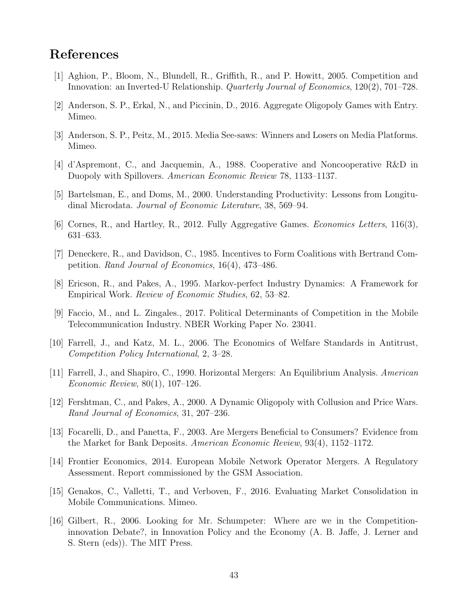## References

- [1] Aghion, P., Bloom, N., Blundell, R., Griffith, R., and P. Howitt, 2005. Competition and Innovation: an Inverted-U Relationship. Quarterly Journal of Economics, 120(2), 701–728.
- [2] Anderson, S. P., Erkal, N., and Piccinin, D., 2016. Aggregate Oligopoly Games with Entry. Mimeo.
- [3] Anderson, S. P., Peitz, M., 2015. Media See-saws: Winners and Losers on Media Platforms. Mimeo.
- [4] d'Aspremont, C., and Jacquemin, A., 1988. Cooperative and Noncooperative R&D in Duopoly with Spillovers. American Economic Review 78, 1133–1137.
- [5] Bartelsman, E., and Doms, M., 2000. Understanding Productivity: Lessons from Longitudinal Microdata. Journal of Economic Literature, 38, 569–94.
- [6] Cornes, R., and Hartley, R., 2012. Fully Aggregative Games. Economics Letters, 116(3), 631–633.
- [7] Deneckere, R., and Davidson, C., 1985. Incentives to Form Coalitions with Bertrand Competition. Rand Journal of Economics, 16(4), 473–486.
- [8] Ericson, R., and Pakes, A., 1995. Markov-perfect Industry Dynamics: A Framework for Empirical Work. Review of Economic Studies, 62, 53–82.
- [9] Faccio, M., and L. Zingales., 2017. Political Determinants of Competition in the Mobile Telecommunication Industry. NBER Working Paper No. 23041.
- [10] Farrell, J., and Katz, M. L., 2006. The Economics of Welfare Standards in Antitrust, Competition Policy International, 2, 3–28.
- [11] Farrell, J., and Shapiro, C., 1990. Horizontal Mergers: An Equilibrium Analysis. American Economic Review, 80(1), 107–126.
- [12] Fershtman, C., and Pakes, A., 2000. A Dynamic Oligopoly with Collusion and Price Wars. Rand Journal of Economics, 31, 207–236.
- [13] Focarelli, D., and Panetta, F., 2003. Are Mergers Beneficial to Consumers? Evidence from the Market for Bank Deposits. American Economic Review, 93(4), 1152–1172.
- [14] Frontier Economics, 2014. European Mobile Network Operator Mergers. A Regulatory Assessment. Report commissioned by the GSM Association.
- [15] Genakos, C., Valletti, T., and Verboven, F., 2016. Evaluating Market Consolidation in Mobile Communications. Mimeo.
- [16] Gilbert, R., 2006. Looking for Mr. Schumpeter: Where are we in the Competitioninnovation Debate?, in Innovation Policy and the Economy (A. B. Jaffe, J. Lerner and S. Stern (eds)). The MIT Press.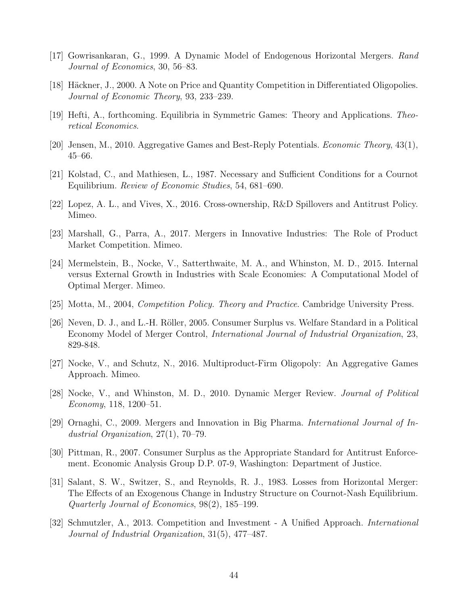- [17] Gowrisankaran, G., 1999. A Dynamic Model of Endogenous Horizontal Mergers. Rand Journal of Economics, 30, 56–83.
- [18] Häckner, J., 2000. A Note on Price and Quantity Competition in Differentiated Oligopolies. Journal of Economic Theory, 93, 233–239.
- [19] Hefti, A., forthcoming. Equilibria in Symmetric Games: Theory and Applications. Theoretical Economics.
- [20] Jensen, M., 2010. Aggregative Games and Best-Reply Potentials. Economic Theory, 43(1), 45–66.
- [21] Kolstad, C., and Mathiesen, L., 1987. Necessary and Sufficient Conditions for a Cournot Equilibrium. Review of Economic Studies, 54, 681–690.
- [22] Lopez, A. L., and Vives, X., 2016. Cross-ownership, R&D Spillovers and Antitrust Policy. Mimeo.
- [23] Marshall, G., Parra, A., 2017. Mergers in Innovative Industries: The Role of Product Market Competition. Mimeo.
- [24] Mermelstein, B., Nocke, V., Satterthwaite, M. A., and Whinston, M. D., 2015. Internal versus External Growth in Industries with Scale Economies: A Computational Model of Optimal Merger. Mimeo.
- [25] Motta, M., 2004, Competition Policy. Theory and Practice. Cambridge University Press.
- [26] Neven, D. J., and L.-H. Röller, 2005. Consumer Surplus vs. Welfare Standard in a Political Economy Model of Merger Control, International Journal of Industrial Organization, 23, 829-848.
- [27] Nocke, V., and Schutz, N., 2016. Multiproduct-Firm Oligopoly: An Aggregative Games Approach. Mimeo.
- [28] Nocke, V., and Whinston, M. D., 2010. Dynamic Merger Review. Journal of Political Economy, 118, 1200–51.
- [29] Ornaghi, C., 2009. Mergers and Innovation in Big Pharma. International Journal of Industrial Organization, 27(1), 70–79.
- [30] Pittman, R., 2007. Consumer Surplus as the Appropriate Standard for Antitrust Enforcement. Economic Analysis Group D.P. 07-9, Washington: Department of Justice.
- [31] Salant, S. W., Switzer, S., and Reynolds, R. J., 1983. Losses from Horizontal Merger: The Effects of an Exogenous Change in Industry Structure on Cournot-Nash Equilibrium. Quarterly Journal of Economics, 98(2), 185–199.
- [32] Schmutzler, A., 2013. Competition and Investment A Unified Approach. International Journal of Industrial Organization, 31(5), 477–487.